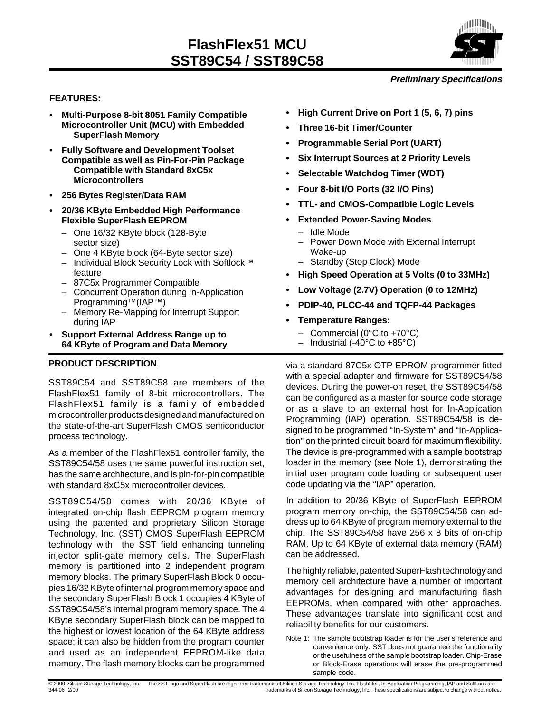

#### **Preliminary Specifications**

#### **FEATURES:**

- **Multi-Purpose 8-bit 8051 Family Compatible Microcontroller Unit (MCU) with Embedded SuperFlash Memory**
- **Fully Software and Development Toolset Compatible as well as Pin-For-Pin Package Compatible with Standard 8xC5x Microcontrollers**
- **256 Bytes Register/Data RAM**
- **20/36 KByte Embedded High Performance Flexible SuperFlash EEPROM**
	- One 16/32 KByte block (128-Byte sector size)
	- One 4 KByte block (64-Byte sector size)
	- Individual Block Security Lock with Softlock™ feature
	- 87C5x Programmer Compatible
	- Concurrent Operation during In-Application Programming™(IAP™)
	- Memory Re-Mapping for Interrupt Support during IAP
- **Support External Address Range up to 64 KByte of Program and Data Memory**

#### **PRODUCT DESCRIPTION**

SST89C54 and SST89C58 are members of the FlashFlex51 family of 8-bit microcontrollers. The FlashFlex51 family is a family of embedded microcontroller products designed and manufactured on the state-of-the-art SuperFlash CMOS semiconductor process technology.

As a member of the FlashFlex51 controller family, the SST89C54/58 uses the same powerful instruction set, has the same architecture, and is pin-for-pin compatible with standard 8xC5x microcontroller devices.

SST89C54/58 comes with 20/36 KByte of integrated on-chip flash EEPROM program memory using the patented and proprietary Silicon Storage Technology, Inc. (SST) CMOS SuperFlash EEPROM technology with the SST field enhancing tunneling injector split-gate memory cells. The SuperFlash memory is partitioned into 2 independent program memory blocks. The primary SuperFlash Block 0 occupies 16/32 KByte of internal program memory space and the secondary SuperFlash Block 1 occupies 4 KByte of SST89C54/58's internal program memory space. The 4 KByte secondary SuperFlash block can be mapped to the highest or lowest location of the 64 KByte address space; it can also be hidden from the program counter and used as an independent EEPROM-like data memory. The flash memory blocks can be programmed

- **High Current Drive on Port 1 (5, 6, 7) pins**
- **Three 16-bit Timer/Counter**
- **Programmable Serial Port (UART)**
- **Six Interrupt Sources at 2 Priority Levels**
- **Selectable Watchdog Timer (WDT)**
- **Four 8-bit I/O Ports (32 I/O Pins)**
- **TTL- and CMOS-Compatible Logic Levels**
- **Extended Power-Saving Modes**
	- Idle Mode
	- Power Down Mode with External Interrupt Wake-up
	- Standby (Stop Clock) Mode
- **High Speed Operation at 5 Volts (0 to 33MHz)**
- **Low Voltage (2.7V) Operation (0 to 12MHz)**
- **PDIP-40, PLCC-44 and TQFP-44 Packages**
- **Temperature Ranges:**
	- Commercial (0°C to +70°C)
	- Industrial (-40 $^{\circ}$ C to +85 $^{\circ}$ C)

via a standard 87C5x OTP EPROM programmer fitted with a special adapter and firmware for SST89C54/58 devices. During the power-on reset, the SST89C54/58 can be configured as a master for source code storage or as a slave to an external host for In-Application Programming (IAP) operation. SST89C54/58 is designed to be programmed "In-System" and "In-Application" on the printed circuit board for maximum flexibility. The device is pre-programmed with a sample bootstrap loader in the memory (see Note 1), demonstrating the initial user program code loading or subsequent user code updating via the "IAP" operation.

In addition to 20/36 KByte of SuperFlash EEPROM program memory on-chip, the SST89C54/58 can address up to 64 KByte of program memory external to the chip. The SST89C54/58 have 256 x 8 bits of on-chip RAM. Up to 64 KByte of external data memory (RAM) can be addressed.

The highly reliable, patented SuperFlash technology and memory cell architecture have a number of important advantages for designing and manufacturing flash EEPROMs, when compared with other approaches. These advantages translate into significant cost and reliability benefits for our customers.

Note 1: The sample bootstrap loader is for the user's reference and convenience only. SST does not guarantee the functionality or the usefulness of the sample bootstrap loader. Chip-Erase or Block-Erase operations will erase the pre-programmed sample code.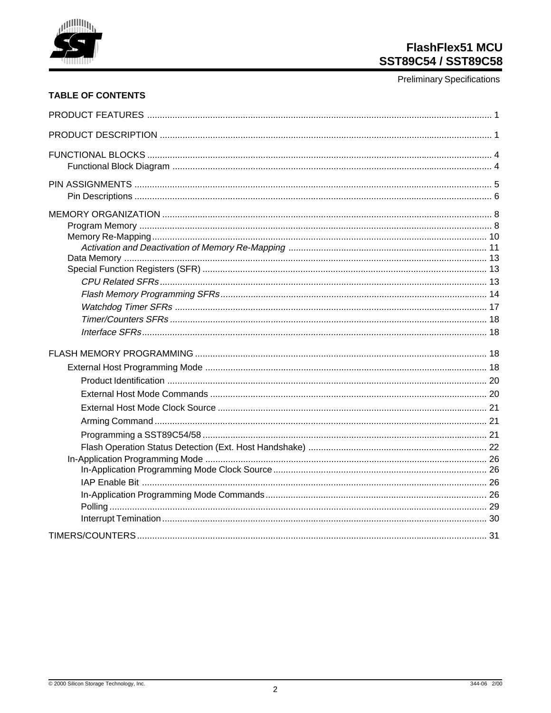

**Preliminary Specifications** 

## **TABLE OF CONTENTS**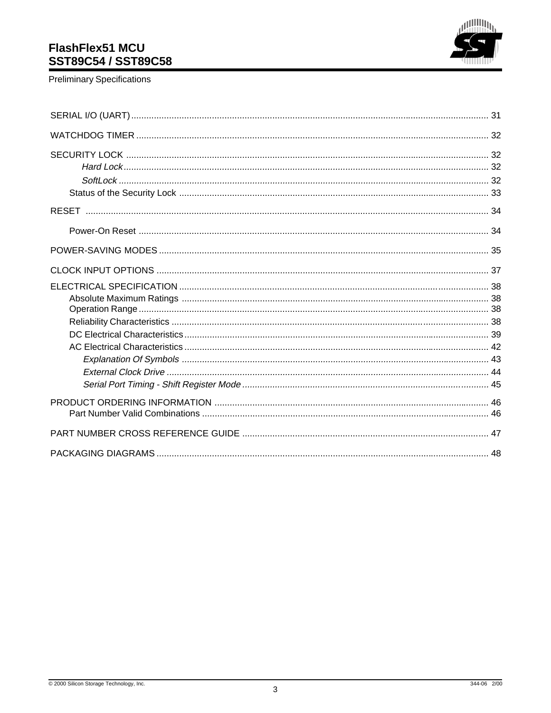

**Preliminary Specifications**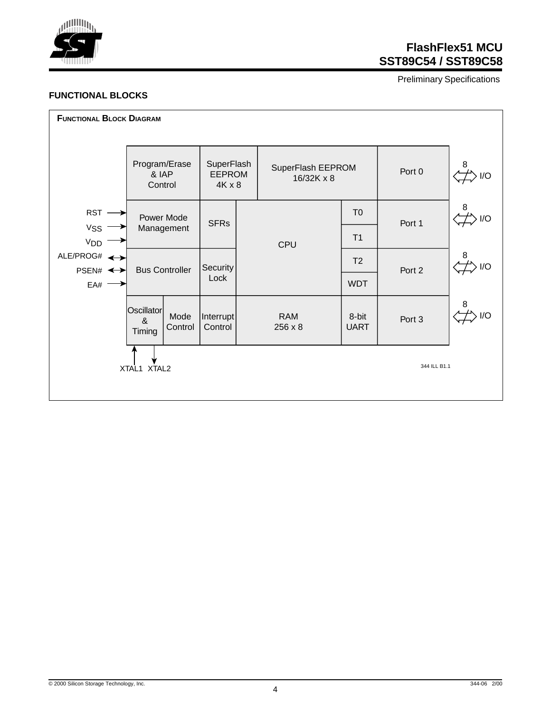

Preliminary Specifications

#### **FUNCTIONAL BLOCKS**

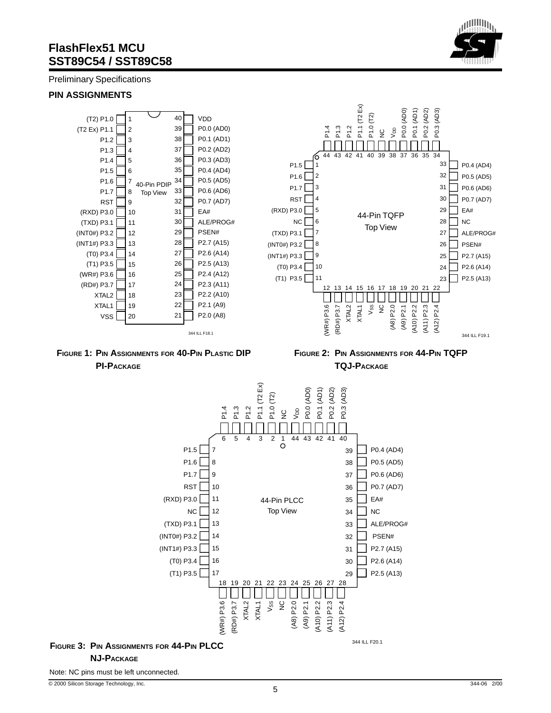Preliminary Specifications

#### **PIN ASSIGNMENTS**





**FIGURE 2: PIN ASSIGNMENTS FOR 44-PIN TQFP TQJ-PACKAGE**



#### **FIGURE 3: PIN ASSIGNMENTS FOR 44-PIN PLCC NJ-PACKAGE**

Note: NC pins must be left unconnected.

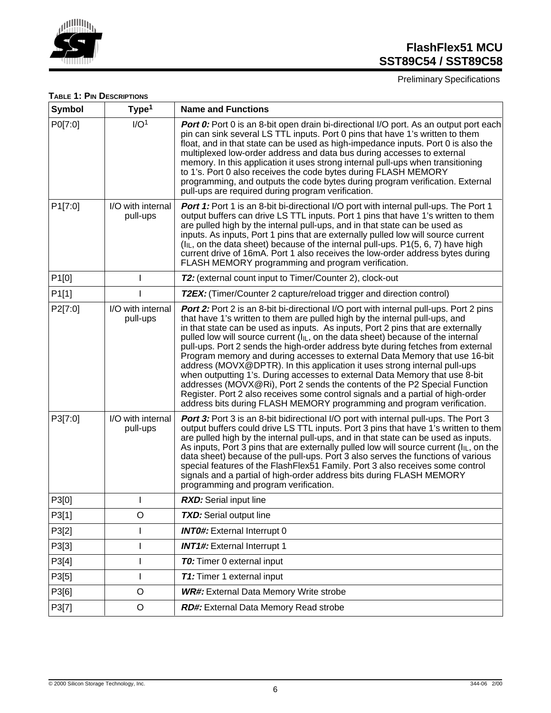

Preliminary Specifications

#### **TABLE 1: PIN DESCRIPTIONS**

| <b>Symbol</b>     | Type <sup>1</sup>             | <b>Name and Functions</b>                                                                                                                                                                                                                                                                                                                                                                                                                                                                                                                                                                                                                                                                                                                                                                                                                                                                                                       |
|-------------------|-------------------------------|---------------------------------------------------------------------------------------------------------------------------------------------------------------------------------------------------------------------------------------------------------------------------------------------------------------------------------------------------------------------------------------------------------------------------------------------------------------------------------------------------------------------------------------------------------------------------------------------------------------------------------------------------------------------------------------------------------------------------------------------------------------------------------------------------------------------------------------------------------------------------------------------------------------------------------|
| P0[7:0]           | I/O <sup>1</sup>              | <b>Port 0:</b> Port 0 is an 8-bit open drain bi-directional I/O port. As an output port each<br>pin can sink several LS TTL inputs. Port 0 pins that have 1's written to them<br>float, and in that state can be used as high-impedance inputs. Port 0 is also the<br>multiplexed low-order address and data bus during accesses to external<br>memory. In this application it uses strong internal pull-ups when transitioning<br>to 1's. Port 0 also receives the code bytes during FLASH MEMORY<br>programming, and outputs the code bytes during program verification. External<br>pull-ups are required during program verification.                                                                                                                                                                                                                                                                                       |
| P1[7:0]           | I/O with internal<br>pull-ups | Port 1: Port 1 is an 8-bit bi-directional I/O port with internal pull-ups. The Port 1<br>output buffers can drive LS TTL inputs. Port 1 pins that have 1's written to them<br>are pulled high by the internal pull-ups, and in that state can be used as<br>inputs. As inputs, Port 1 pins that are externally pulled low will source current<br>$(I_{IL}$ , on the data sheet) because of the internal pull-ups. P1(5, 6, 7) have high<br>current drive of 16mA. Port 1 also receives the low-order address bytes during<br>FLASH MEMORY programming and program verification.                                                                                                                                                                                                                                                                                                                                                 |
| P <sub>1[0]</sub> | $\mathbf{I}$                  | T2: (external count input to Timer/Counter 2), clock-out                                                                                                                                                                                                                                                                                                                                                                                                                                                                                                                                                                                                                                                                                                                                                                                                                                                                        |
| P1[1]             |                               | <b>T2EX:</b> (Timer/Counter 2 capture/reload trigger and direction control)                                                                                                                                                                                                                                                                                                                                                                                                                                                                                                                                                                                                                                                                                                                                                                                                                                                     |
| P2[7:0]           | I/O with internal<br>pull-ups | <b>Port 2:</b> Port 2 is an 8-bit bi-directional I/O port with internal pull-ups. Port 2 pins<br>that have 1's written to them are pulled high by the internal pull-ups, and<br>in that state can be used as inputs. As inputs, Port 2 pins that are externally<br>pulled low will source current $(I_{ L}$ , on the data sheet) because of the internal<br>pull-ups. Port 2 sends the high-order address byte during fetches from external<br>Program memory and during accesses to external Data Memory that use 16-bit<br>address (MOVX@DPTR). In this application it uses strong internal pull-ups<br>when outputting 1's. During accesses to external Data Memory that use 8-bit<br>addresses (MOVX@Ri), Port 2 sends the contents of the P2 Special Function<br>Register. Port 2 also receives some control signals and a partial of high-order<br>address bits during FLASH MEMORY programming and program verification. |
| P3[7:0]           | I/O with internal<br>pull-ups | Port 3: Port 3 is an 8-bit bidirectional I/O port with internal pull-ups. The Port 3<br>output buffers could drive LS TTL inputs. Port 3 pins that have 1's written to them<br>are pulled high by the internal pull-ups, and in that state can be used as inputs.<br>As inputs, Port 3 pins that are externally pulled low will source current ( $I_{IL}$ , on the<br>data sheet) because of the pull-ups. Port 3 also serves the functions of various<br>special features of the FlashFlex51 Family. Port 3 also receives some control<br>signals and a partial of high-order address bits during FLASH MEMORY<br>programming and program verification.                                                                                                                                                                                                                                                                        |
| P3[0]             |                               | <b>RXD:</b> Serial input line                                                                                                                                                                                                                                                                                                                                                                                                                                                                                                                                                                                                                                                                                                                                                                                                                                                                                                   |
| P3[1]             | $\mathsf O$                   | <b>TXD:</b> Serial output line                                                                                                                                                                                                                                                                                                                                                                                                                                                                                                                                                                                                                                                                                                                                                                                                                                                                                                  |
| P3[2]             | T                             | <b>INTO#:</b> External Interrupt 0                                                                                                                                                                                                                                                                                                                                                                                                                                                                                                                                                                                                                                                                                                                                                                                                                                                                                              |
| P3[3]             |                               | <b>INT1#:</b> External Interrupt 1                                                                                                                                                                                                                                                                                                                                                                                                                                                                                                                                                                                                                                                                                                                                                                                                                                                                                              |
| P3[4]             |                               | <b>TO:</b> Timer 0 external input                                                                                                                                                                                                                                                                                                                                                                                                                                                                                                                                                                                                                                                                                                                                                                                                                                                                                               |
| P3[5]             |                               | <b>T1:</b> Timer 1 external input                                                                                                                                                                                                                                                                                                                                                                                                                                                                                                                                                                                                                                                                                                                                                                                                                                                                                               |
| P3[6]             | $\circ$                       | <b>WR#:</b> External Data Memory Write strobe                                                                                                                                                                                                                                                                                                                                                                                                                                                                                                                                                                                                                                                                                                                                                                                                                                                                                   |
| P3[7]             | $\mathsf O$                   | RD#: External Data Memory Read strobe                                                                                                                                                                                                                                                                                                                                                                                                                                                                                                                                                                                                                                                                                                                                                                                                                                                                                           |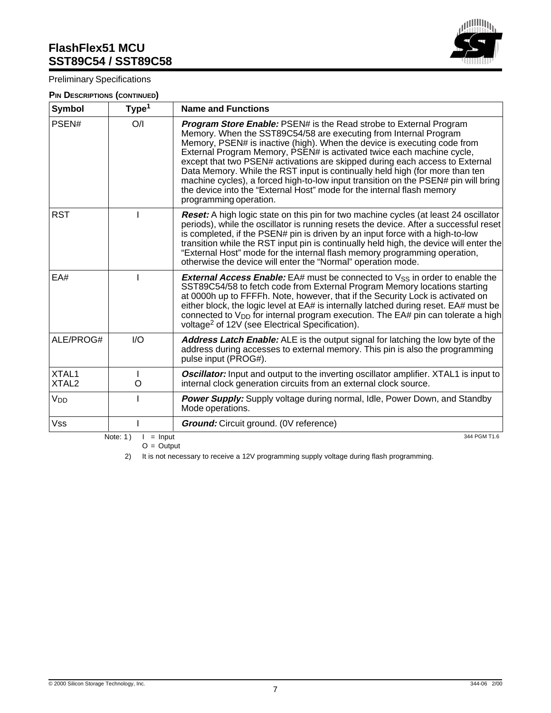#### Preliminary Specifications

#### **PIN DESCRIPTIONS (CONTINUED)**

| (無肌) <sub>)</sub> 。 |  |
|---------------------|--|
|                     |  |
|                     |  |

| <b>Symbol</b>              | Type <sup>1</sup>                       | <b>Name and Functions</b>                                                                                                                                                                                                                                                                                                                                                                                                                                                                                                                                                                                                                                    |
|----------------------------|-----------------------------------------|--------------------------------------------------------------------------------------------------------------------------------------------------------------------------------------------------------------------------------------------------------------------------------------------------------------------------------------------------------------------------------------------------------------------------------------------------------------------------------------------------------------------------------------------------------------------------------------------------------------------------------------------------------------|
| PSEN#                      | O/I                                     | <b>Program Store Enable: PSEN# is the Read strobe to External Program</b><br>Memory. When the SST89C54/58 are executing from Internal Program<br>Memory, PSEN# is inactive (high). When the device is executing code from<br>External Program Memory, PSEN# is activated twice each machine cycle,<br>except that two PSEN# activations are skipped during each access to External<br>Data Memory. While the RST input is continually held high (for more than ten<br>machine cycles), a forced high-to-low input transition on the PSEN# pin will bring<br>the device into the "External Host" mode for the internal flash memory<br>programming operation. |
| <b>RST</b>                 |                                         | <b>Reset:</b> A high logic state on this pin for two machine cycles (at least 24 oscillator<br>periods), while the oscillator is running resets the device. After a successful reset<br>is completed, if the PSEN# pin is driven by an input force with a high-to-low<br>transition while the RST input pin is continually held high, the device will enter the<br>"External Host" mode for the internal flash memory programming operation,<br>otherwise the device will enter the "Normal" operation mode.                                                                                                                                                 |
| EA#                        | ı                                       | <b>External Access Enable:</b> EA# must be connected to $V_{SS}$ in order to enable the<br>SST89C54/58 to fetch code from External Program Memory locations starting<br>at 0000h up to FFFFh. Note, however, that if the Security Lock is activated on<br>either block, the logic level at EA# is internally latched during reset. EA# must be<br>connected to $V_{DD}$ for internal program execution. The EA# pin can tolerate a high<br>voltage <sup>2</sup> of 12V (see Electrical Specification).                                                                                                                                                       |
| ALE/PROG#                  | I/O                                     | <b>Address Latch Enable:</b> ALE is the output signal for latching the low byte of the<br>address during accesses to external memory. This pin is also the programming<br>pulse input (PROG#).                                                                                                                                                                                                                                                                                                                                                                                                                                                               |
| XTAL1<br>XTAL <sub>2</sub> | L<br>O                                  | <b>Oscillator:</b> Input and output to the inverting oscillator amplifier. XTAL1 is input to<br>internal clock generation circuits from an external clock source.                                                                                                                                                                                                                                                                                                                                                                                                                                                                                            |
| V <sub>DD</sub>            |                                         | Power Supply: Supply voltage during normal, Idle, Power Down, and Standby<br>Mode operations.                                                                                                                                                                                                                                                                                                                                                                                                                                                                                                                                                                |
| <b>Vss</b>                 |                                         | <b>Ground:</b> Circuit ground. (0V reference)                                                                                                                                                                                                                                                                                                                                                                                                                                                                                                                                                                                                                |
|                            | Note: $1)$<br>$=$ Input<br>$O = Output$ | 344 PGM T1.6                                                                                                                                                                                                                                                                                                                                                                                                                                                                                                                                                                                                                                                 |

2) It is not necessary to receive a 12V programming supply voltage during flash programming.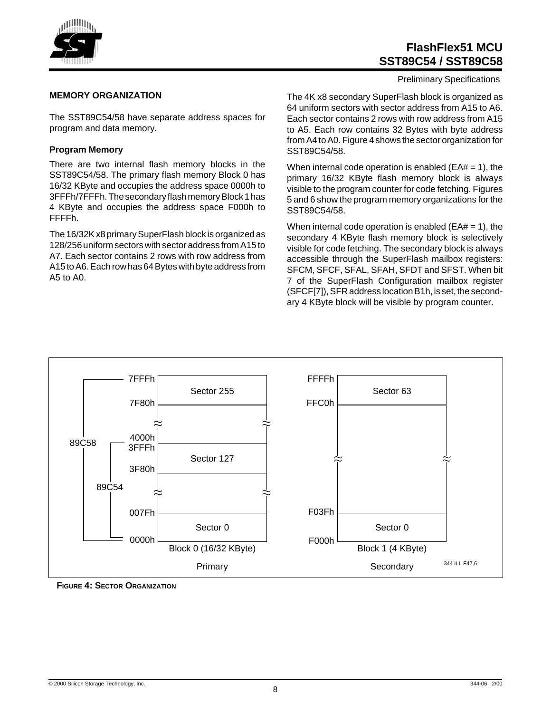

#### Preliminary Specifications

#### **MEMORY ORGANIZATION**

The SST89C54/58 have separate address spaces for program and data memory.

#### **Program Memory**

There are two internal flash memory blocks in the SST89C54/58. The primary flash memory Block 0 has 16/32 KByte and occupies the address space 0000h to 3FFFh/7FFFh. The secondary flash memory Block 1 has 4 KByte and occupies the address space F000h to FFFFh.

The 16/32K x8 primary SuperFlash block is organized as 128/256 uniform sectors with sector address from A15 to A7. Each sector contains 2 rows with row address from A15 to A6. Each row has 64 Bytes with byte address from A5 to A0.

The 4K x8 secondary SuperFlash block is organized as 64 uniform sectors with sector address from A15 to A6. Each sector contains 2 rows with row address from A15 to A5. Each row contains 32 Bytes with byte address from A4 to A0. Figure 4 shows the sector organization for SST89C54/58.

When internal code operation is enabled ( $EA# = 1$ ), the primary 16/32 KByte flash memory block is always visible to the program counter for code fetching. Figures 5 and 6 show the program memory organizations for the SST89C54/58.

When internal code operation is enabled ( $E$ A $#$  = 1), the secondary 4 KByte flash memory block is selectively visible for code fetching. The secondary block is always accessible through the SuperFlash mailbox registers: SFCM, SFCF, SFAL, SFAH, SFDT and SFST. When bit 7 of the SuperFlash Configuration mailbox register (SFCF[7]), SFR address location B1h, is set, the secondary 4 KByte block will be visible by program counter.



**FIGURE 4: SECTOR ORGANIZATION**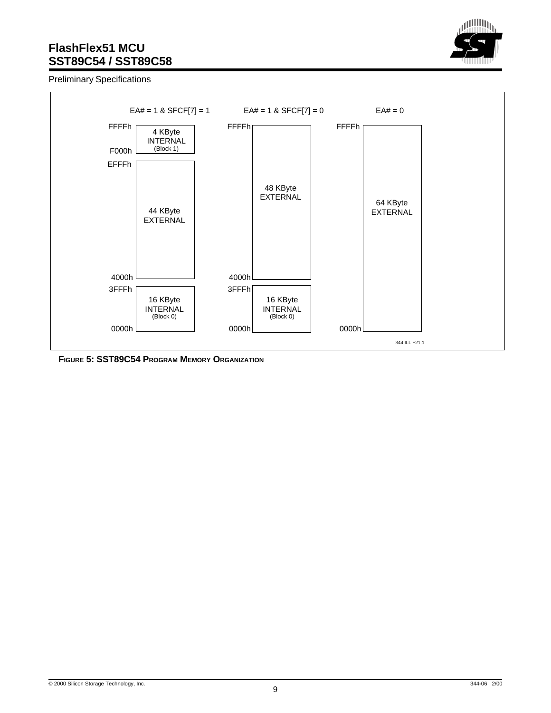

Preliminary Specifications



**FIGURE 5: SST89C54 PROGRAM MEMORY ORGANIZATION**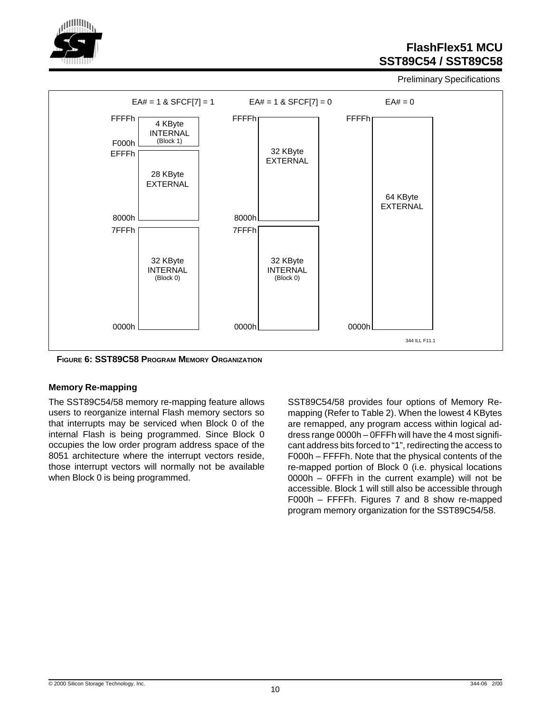

Preliminary Specifications



**FIGURE 6: SST89C58 PROGRAM MEMORY ORGANIZATION**

#### **Memory Re-mapping**

The SST89C54/58 memory re-mapping feature allows users to reorganize internal Flash memory sectors so that interrupts may be serviced when Block 0 of the internal Flash is being programmed. Since Block 0 occupies the low order program address space of the 8051 architecture where the interrupt vectors reside, those interrupt vectors will normally not be available when Block 0 is being programmed.

SST89C54/58 provides four options of Memory Remapping (Refer to Table 2). When the lowest 4 KBytes are remapped, any program access within logical address range 0000h – 0FFFh will have the 4 most significant address bits forced to "1", redirecting the access to F000h – FFFFh. Note that the physical contents of the re-mapped portion of Block 0 (i.e. physical locations 0000h – 0FFFh in the current example) will not be accessible. Block 1 will still also be accessible through F000h – FFFFh. Figures 7 and 8 show re-mapped program memory organization for the SST89C54/58.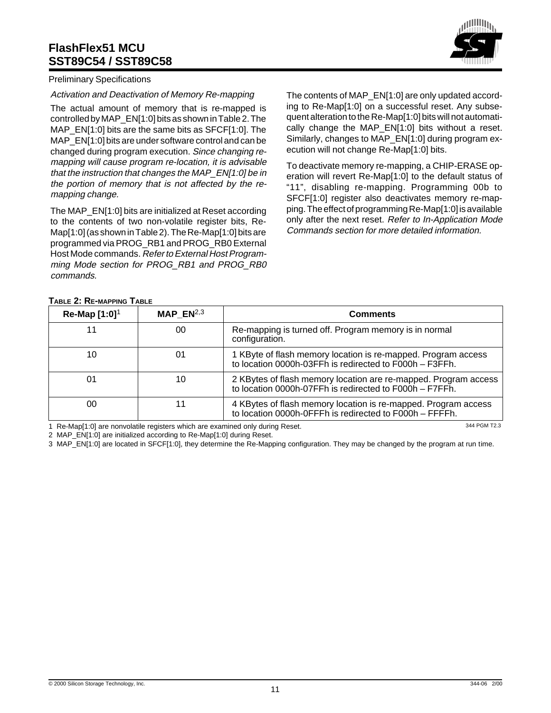

#### Preliminary Specifications

#### Activation and Deactivation of Memory Re-mapping

The actual amount of memory that is re-mapped is controlled by MAP\_EN[1:0] bits as shown in Table 2. The MAP EN[1:0] bits are the same bits as SFCF[1:0]. The MAP EN[1:0] bits are under software control and can be changed during program execution. Since changing remapping will cause program re-location, it is advisable that the instruction that changes the MAP\_EN[1:0] be in the portion of memory that is not affected by the remapping change.

The MAP EN[1:0] bits are initialized at Reset according to the contents of two non-volatile register bits, Re-Map[1:0] (as shown in Table 2). The Re-Map[1:0] bits are programmed via PROG\_RB1 and PROG\_RB0 External Host Mode commands. Refer to External Host Programming Mode section for PROG RB1 and PROG RB0 commands.

The contents of MAP EN[1:0] are only updated according to Re-Map[1:0] on a successful reset. Any subsequent alteration to the Re-Map[1:0] bits will not automatically change the MAP EN[1:0] bits without a reset. Similarly, changes to MAP\_EN[1:0] during program execution will not change Re-Map[1:0] bits.

To deactivate memory re-mapping, a CHIP-ERASE operation will revert Re-Map[1:0] to the default status of "11", disabling re-mapping. Programming 00b to SFCF[1:0] register also deactivates memory re-mapping. The effect of programming Re-Map[1:0] is available only after the next reset. Refer to In-Application Mode Commands section for more detailed information.

#### **TABLE 2: RE-MAPPING TABLE**

| Re-Map $[1:0]$ <sup>1</sup> | MAP $EN^{2,3}$                                                                                                                   | <b>Comments</b>                                                                                                           |  |  |  |  |  |
|-----------------------------|----------------------------------------------------------------------------------------------------------------------------------|---------------------------------------------------------------------------------------------------------------------------|--|--|--|--|--|
| 11                          | 00                                                                                                                               | Re-mapping is turned off. Program memory is in normal<br>configuration.                                                   |  |  |  |  |  |
| 10                          | 01                                                                                                                               | 1 KByte of flash memory location is re-mapped. Program access<br>to location 0000h-03FFh is redirected to F000h - F3FFh.  |  |  |  |  |  |
| 01                          | 2 KBytes of flash memory location are re-mapped. Program access<br>10<br>to location 0000h-07FFh is redirected to F000h - F7FFh. |                                                                                                                           |  |  |  |  |  |
| 00                          |                                                                                                                                  | 4 KBytes of flash memory location is re-mapped. Program access<br>to location 0000h-0FFFh is redirected to F000h - FFFFh. |  |  |  |  |  |
|                             | 1 Re-Man[1:0] are nonvolatile registers which are examined only during Reset                                                     | 344 PGM T2.3                                                                                                              |  |  |  |  |  |

1 Re-Map[1:0] are nonvolatile registers which are examined only during Reset.

2 MAP\_EN[1:0] are initialized according to Re-Map[1:0] during Reset.

3 MAP\_EN[1:0] are located in SFCF[1:0], they determine the Re-Mapping configuration. They may be changed by the program at run time.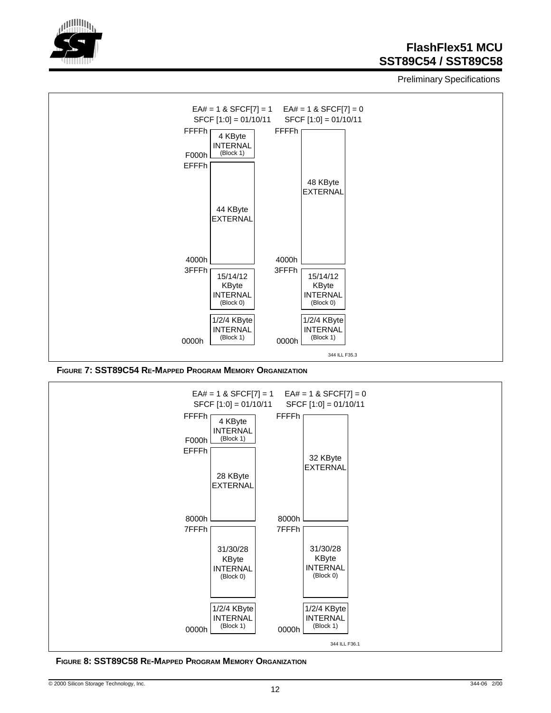

Preliminary Specifications



**FIGURE 7: SST89C54 RE-MAPPED PROGRAM MEMORY ORGANIZATION**



**FIGURE 8: SST89C58 RE-MAPPED PROGRAM MEMORY ORGANIZATION**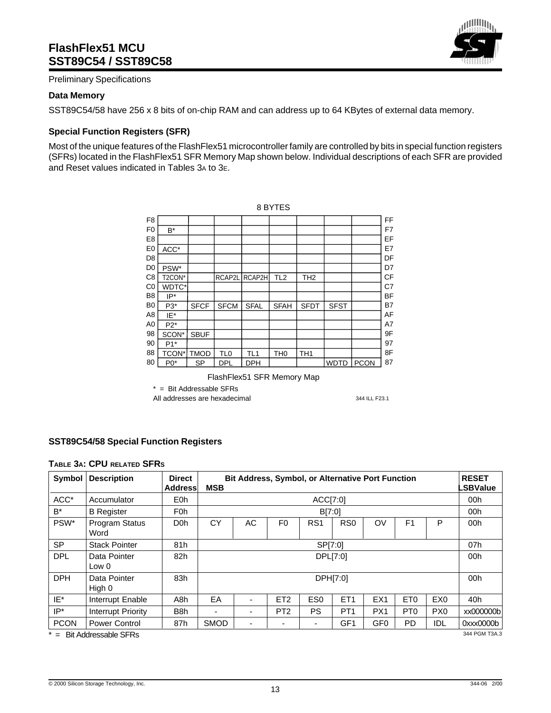

Preliminary Specifications

#### **Data Memory**

SST89C54/58 have 256 x 8 bits of on-chip RAM and can address up to 64 KBytes of external data memory.

#### **Special Function Registers (SFR)**

Most of the unique features of the FlashFlex51 microcontroller family are controlled by bits in special function registers (SFRs) located in the FlashFlex51 SFR Memory Map shown below. Individual descriptions of each SFR are provided and Reset values indicated in Tables 3A to 3E.

|                | 8 BYTES |             |                 |                 |                 |                 |             |             |           |  |  |  |
|----------------|---------|-------------|-----------------|-----------------|-----------------|-----------------|-------------|-------------|-----------|--|--|--|
| F <sub>8</sub> |         |             |                 |                 |                 |                 |             |             | FF        |  |  |  |
| F <sub>0</sub> | $B^*$   |             |                 |                 |                 |                 |             |             | F7        |  |  |  |
| E <sub>8</sub> |         |             |                 |                 |                 |                 |             |             | EF        |  |  |  |
| E <sub>0</sub> | ACC*    |             |                 |                 |                 |                 |             |             | E7        |  |  |  |
| D <sub>8</sub> |         |             |                 |                 |                 |                 |             |             | DF        |  |  |  |
| D <sub>0</sub> | PSW*    |             |                 |                 |                 |                 |             |             | D7        |  |  |  |
| C <sub>8</sub> | T2CON*  |             | RCAP2L          | RCAP2H          | TL <sub>2</sub> | TH <sub>2</sub> |             |             | <b>CF</b> |  |  |  |
| C <sub>0</sub> | WDTC*   |             |                 |                 |                 |                 |             |             | C7        |  |  |  |
| B <sub>8</sub> | IP*     |             |                 |                 |                 |                 |             |             | <b>BF</b> |  |  |  |
| B <sub>0</sub> | P3*     | <b>SFCF</b> | <b>SFCM</b>     | <b>SFAL</b>     | <b>SFAH</b>     | <b>SFDT</b>     | <b>SFST</b> |             | <b>B7</b> |  |  |  |
| A8             | IE*     |             |                 |                 |                 |                 |             |             | AF        |  |  |  |
| A0             | $P2*$   |             |                 |                 |                 |                 |             |             | A7        |  |  |  |
| 98             | SCON*   | <b>SBUF</b> |                 |                 |                 |                 |             |             | 9F        |  |  |  |
| 90             | $P1*$   |             |                 |                 |                 |                 |             |             | 97        |  |  |  |
| 88             | TCON*   | <b>TMOD</b> | TL <sub>0</sub> | TL <sub>1</sub> | TH <sub>0</sub> | TH <sub>1</sub> |             |             | 8F        |  |  |  |
| 80             | $P0*$   | <b>SP</b>   | <b>DPL</b>      | <b>DPH</b>      |                 |                 | <b>WDTD</b> | <b>PCON</b> | 87        |  |  |  |

FlashFlex51 SFR Memory Map

\* = Bit Addressable SFRs

All addresses are hexadecimal 344 ILL F23.1

#### **SST89C54/58 Special Function Registers**

#### **TABLE 3A: CPU RELATED SFRS**

| Symbol      | <b>Description</b>       | <b>Direct</b><br>Address | <b>MSB</b>  | <b>Bit Address, Symbol, or Alternative Port Function</b>                          |                 |                 |                 |                 |                 |                 |               |
|-------------|--------------------------|--------------------------|-------------|-----------------------------------------------------------------------------------|-----------------|-----------------|-----------------|-----------------|-----------------|-----------------|---------------|
| ACC*        | Accumulator              | E0h                      |             |                                                                                   |                 | ACC[7:0]        |                 |                 |                 |                 | 00h           |
| $B^*$       | <b>B</b> Register        | F <sub>0</sub> h         |             |                                                                                   |                 | B[7:0]          |                 |                 |                 |                 | 00h           |
| PSW*        | Program Status<br>Word   | D <sub>0</sub> h         | CY          | AC                                                                                | F <sub>0</sub>  | RS <sub>1</sub> | R <sub>S0</sub> | OV              | F <sub>1</sub>  | P               | 00h           |
| <b>SP</b>   | <b>Stack Pointer</b>     | 81h                      |             | SP[7:0]                                                                           |                 |                 |                 |                 |                 |                 |               |
| <b>DPL</b>  | Data Pointer<br>Low 0    | 82h                      |             | DPL[7:0]                                                                          |                 |                 |                 |                 |                 |                 | 00h           |
| <b>DPH</b>  | Data Pointer<br>High 0   | 83h                      |             | DPH[7:0]                                                                          |                 |                 |                 |                 |                 |                 | 00h           |
| IE*         | Interrupt Enable         | A8h                      | EA          | -                                                                                 | ET <sub>2</sub> | ES <sub>0</sub> | ET <sub>1</sub> | EX <sub>1</sub> | ET <sub>0</sub> | EX <sub>0</sub> | 40h           |
| $IP^*$      | Interrupt Priority       | B <sub>8</sub> h         | ۰           | -                                                                                 | PT <sub>2</sub> | <b>PS</b>       | PT <sub>1</sub> | PX1             | PT <sub>0</sub> | PX <sub>0</sub> | xx0000000b    |
| <b>PCON</b> | <b>Power Control</b>     | 87h                      | <b>SMOD</b> | GF1<br>GF <sub>0</sub><br>PD.<br><b>IDL</b><br>۰<br>$\overline{\phantom{a}}$<br>۰ |                 |                 |                 |                 |                 |                 | 0xxx0000b     |
|             | $=$ Bit Addressable SFRs |                          |             |                                                                                   |                 |                 |                 |                 |                 |                 | 344 PGM T3A.3 |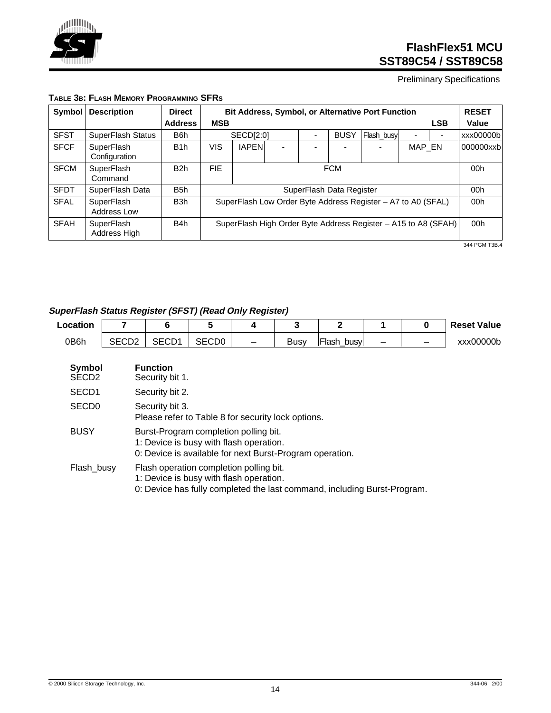

Preliminary Specifications

| Symbol      | <b>Description</b>          | <b>Direct</b>    |            | <b>Bit Address, Symbol, or Alternative Port Function</b>     |                          |                          |                          |                                                                |        |            | <b>RESET</b> |
|-------------|-----------------------------|------------------|------------|--------------------------------------------------------------|--------------------------|--------------------------|--------------------------|----------------------------------------------------------------|--------|------------|--------------|
|             |                             | <b>Address</b>   | <b>MSB</b> |                                                              |                          |                          |                          |                                                                |        | <b>LSB</b> | Value        |
| <b>SFST</b> | SuperFlash Status           | B <sub>6</sub> h |            | SECD[2:0]                                                    |                          | $\overline{\phantom{0}}$ | <b>BUSY</b>              | Flash busy                                                     |        |            | xxx000000b   |
| <b>SFCF</b> | SuperFlash<br>Configuration | B <sub>1</sub> h | VIS        | <b>IAPEN</b>                                                 | $\overline{\phantom{a}}$ |                          |                          |                                                                | MAP EN |            | 000000xxb    |
| <b>SFCM</b> | SuperFlash<br>Command       | B <sub>2</sub> h | <b>FIE</b> | <b>FCM</b>                                                   |                          |                          |                          |                                                                |        |            | 00h          |
| <b>SFDT</b> | SuperFlash Data             | B <sub>5</sub> h |            |                                                              |                          |                          | SuperFlash Data Register |                                                                |        |            | 00h          |
| <b>SFAL</b> | SuperFlash<br>Address Low   | B3h              |            | SuperFlash Low Order Byte Address Register - A7 to A0 (SFAL) |                          |                          |                          |                                                                |        |            | 00h          |
| <b>SFAH</b> | SuperFlash<br>Address High  | B4h              |            |                                                              |                          |                          |                          | SuperFlash High Order Byte Address Register - A15 to A8 (SFAH) |        |            | 00h          |

#### **TABLE 3B: FLASH MEMORY PROGRAMMING SFRS**

344 PGM T3B.4

### **SuperFlash Status Register (SFST) (Read Only Register)**

| Location |             |       |                          |      |                |  | <b>Reset Value</b> |
|----------|-------------|-------|--------------------------|------|----------------|--|--------------------|
| 0B6h     | SEMN1<br>◡◡ | SECD0 | $\overline{\phantom{0}}$ | Busv | 'Flash<br>busy |  | xxx00000b          |

| <b>Symbol</b><br>SECD <sub>2</sub> | <b>Function</b><br>Security bit 1.                                                                                                                             |
|------------------------------------|----------------------------------------------------------------------------------------------------------------------------------------------------------------|
| SECD <sub>1</sub>                  | Security bit 2.                                                                                                                                                |
| SECD <sub>0</sub>                  | Security bit 3.<br>Please refer to Table 8 for security lock options.                                                                                          |
| <b>BUSY</b>                        | Burst-Program completion polling bit.<br>1: Device is busy with flash operation.<br>0: Device is available for next Burst-Program operation.                   |
| Flash_busy                         | Flash operation completion polling bit.<br>1: Device is busy with flash operation.<br>0: Device has fully completed the last command, including Burst-Program. |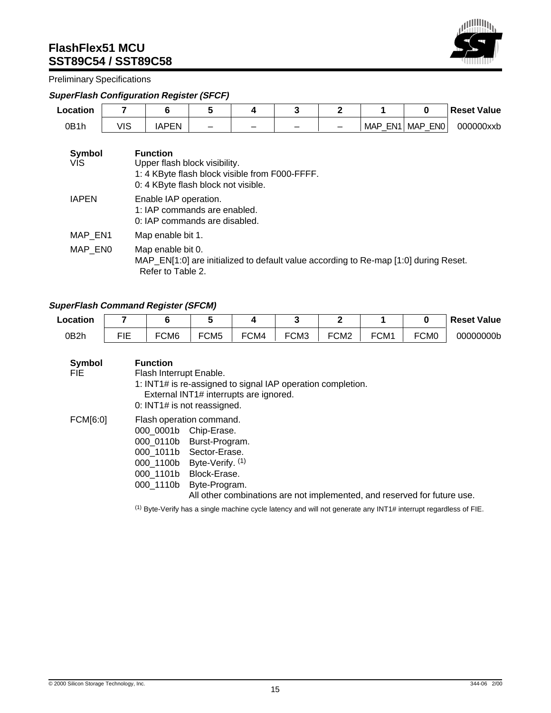

Preliminary Specifications

### **SuperFlash Configuration Register (SFCF)**

| Location          |            | 6                                                                                                                                         | 5 | 4 | 3 | $\mathbf{2}$ |                                                                                      | 0       | <b>Reset Value</b> |  |  |
|-------------------|------------|-------------------------------------------------------------------------------------------------------------------------------------------|---|---|---|--------------|--------------------------------------------------------------------------------------|---------|--------------------|--|--|
| 0B <sub>1</sub> h | <b>VIS</b> | <b>IAPEN</b>                                                                                                                              |   |   |   |              | MAP EN1                                                                              | MAP ENO | 000000xxb          |  |  |
| Symbol<br>VIS.    |            | <b>Function</b><br>Upper flash block visibility.<br>1: 4 KByte flash block visible from F000-FFFF.<br>0: 4 KByte flash block not visible. |   |   |   |              |                                                                                      |         |                    |  |  |
| <b>IAPEN</b>      |            | Enable IAP operation.<br>1: IAP commands are enabled.<br>0: IAP commands are disabled.                                                    |   |   |   |              |                                                                                      |         |                    |  |  |
| MAP EN1           |            | Map enable bit 1.                                                                                                                         |   |   |   |              |                                                                                      |         |                    |  |  |
| MAP ENO           |            | Map enable bit 0.<br>Refer to Table 2.                                                                                                    |   |   |   |              | MAP_EN[1:0] are initialized to default value according to Re-map [1:0] during Reset. |         |                    |  |  |

### **SuperFlash Command Register (SFCM)**

| Location |            |                  |                  |      |      |                  |                  |                  | <b>Reset Value</b> |
|----------|------------|------------------|------------------|------|------|------------------|------------------|------------------|--------------------|
| 0B2h     | <b>FIF</b> | FCM <sub>6</sub> | FCM <sub>5</sub> | FCM4 | FCM3 | FCM <sub>2</sub> | FCM <sub>1</sub> | FCM <sub>0</sub> | 00000000b          |

| <b>Symbol</b><br>FIE. | <b>Function</b><br>Flash Interrupt Enable.<br>1: INT1# is re-assigned to signal IAP operation completion.<br>External INT1# interrupts are ignored.<br>0: INT1# is not reassigned.                                                                                               |
|-----------------------|----------------------------------------------------------------------------------------------------------------------------------------------------------------------------------------------------------------------------------------------------------------------------------|
| FCM[6:0]              | Flash operation command.<br>000 0001b<br>Chip-Erase.<br>000_0110b Burst-Program.<br>000 1011b Sector-Erase.<br>000_1100b Byte-Verify. (1)<br>Block-Erase.<br>000 1101b<br>000 1110b<br>Byte-Program.<br>All other combinations are not implemented, and reserved for future use. |

(1) Byte-Verify has a single machine cycle latency and will not generate any INT1# interrupt regardless of FIE.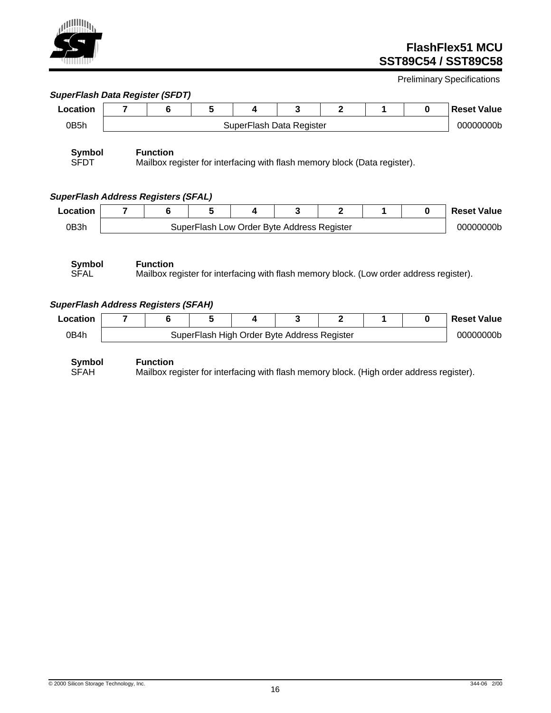# u<sup>ninin</sup>in

## **FlashFlex51 MCU SST89C54 / SST89C58**

Preliminary Specifications

|                                                    | 7                        | 6               | 5                                           | 4                        | 3 | $\mathbf{2}$                                                                            | 1 | $\bf{0}$    | <b>Reset Value</b> |
|----------------------------------------------------|--------------------------|-----------------|---------------------------------------------|--------------------------|---|-----------------------------------------------------------------------------------------|---|-------------|--------------------|
| 0B5h                                               |                          |                 |                                             | SuperFlash Data Register |   |                                                                                         |   |             | 00000000b          |
| <b>Symbol</b><br><b>SFDT</b>                       |                          | <b>Function</b> |                                             |                          |   | Mailbox register for interfacing with flash memory block (Data register).               |   |             |                    |
| <b>SuperFlash Address Registers (SFAL)</b>         |                          |                 |                                             |                          |   |                                                                                         |   |             |                    |
| Location                                           | $\overline{\phantom{a}}$ | 6               | 5                                           | 4                        | 3 | $\mathbf{2}$                                                                            | 1 | $\bf{0}$    | <b>Reset Value</b> |
| 0B3h                                               |                          |                 | SuperFlash Low Order Byte Address Register  |                          |   |                                                                                         |   |             | 00000000b          |
| Symbol                                             |                          | <b>Function</b> |                                             |                          |   |                                                                                         |   |             |                    |
| <b>SFAL</b>                                        |                          |                 |                                             |                          |   | Mailbox register for interfacing with flash memory block. (Low order address register). |   |             |                    |
| Location                                           | 7                        | 6               | 5                                           | 4                        | 3 | $\mathbf{2}$                                                                            | 1 | $\mathbf 0$ | <b>Reset Value</b> |
| <b>SuperFlash Address Registers (SFAH)</b><br>0B4h |                          |                 | SuperFlash High Order Byte Address Register |                          |   |                                                                                         |   |             | 00000000b          |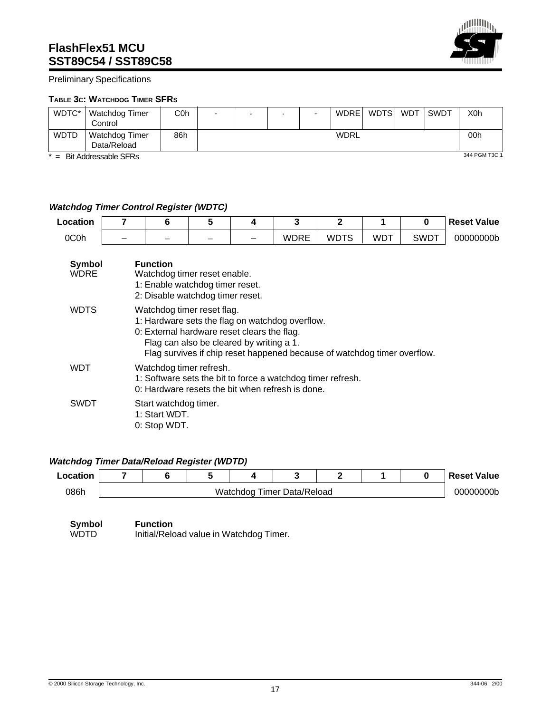

#### Preliminary Specifications

#### **TABLE 3C: WATCHDOG TIMER SFRS**

| WDTC*       | Watchdog Timer                       | C <sub>0</sub> h | - |  | - | WDRE        | WDTS | <b>WDT</b> | <b>SWDT</b> | X0h           |
|-------------|--------------------------------------|------------------|---|--|---|-------------|------|------------|-------------|---------------|
|             | Control                              |                  |   |  |   |             |      |            |             |               |
| <b>WDTD</b> | <b>Watchdog Timer</b><br>Data/Reload | 86h              |   |  |   | <b>WDRL</b> |      |            |             | 00h           |
| $x =$       | Bit Addressable SFRs                 |                  |   |  |   |             |      |            |             | 344 PGM T3C.1 |

#### **Watchdog Timer Control Register (WDTC)**

| Location              | 7 | 6                                                                                                                      | 5 | 4 | 3                                                                                                                           | $\mathbf{2}$ |            | 0           | <b>Reset Value</b> |
|-----------------------|---|------------------------------------------------------------------------------------------------------------------------|---|---|-----------------------------------------------------------------------------------------------------------------------------|--------------|------------|-------------|--------------------|
| 0C0h                  |   |                                                                                                                        |   |   | WDRE                                                                                                                        | <b>WDTS</b>  | <b>WDT</b> | <b>SWDT</b> | 00000000b          |
| Symbol<br><b>WDRE</b> |   | <b>Function</b><br>Watchdog timer reset enable.<br>1: Enable watchdog timer reset.<br>2: Disable watchdog timer reset. |   |   |                                                                                                                             |              |            |             |                    |
| <b>WDTS</b>           |   | Watchdog timer reset flag.<br>0: External hardware reset clears the flag.<br>Flag can also be cleared by writing a 1.  |   |   | 1: Hardware sets the flag on watchdog overflow.<br>Flag survives if chip reset happened because of watchdog timer overflow. |              |            |             |                    |
| WDT                   |   | Watchdog timer refresh.                                                                                                |   |   | 1: Software sets the bit to force a watchdog timer refresh.<br>0: Hardware resets the bit when refresh is done.             |              |            |             |                    |
| SWDT                  |   | Start watchdog timer.<br>1: Start WDT.<br>0: Stop WDT.                                                                 |   |   |                                                                                                                             |              |            |             |                    |

### **Watchdog Timer Data/Reload Register (WDTD)**

| .ocation |  |  |                            |  | ' Reset Value |
|----------|--|--|----------------------------|--|---------------|
| 086h     |  |  | Watchdog Timer Data/Reload |  | 00000000b     |

**Symbol Function**<br>
WDTD Initial/Relo Initial/Reload value in Watchdog Timer.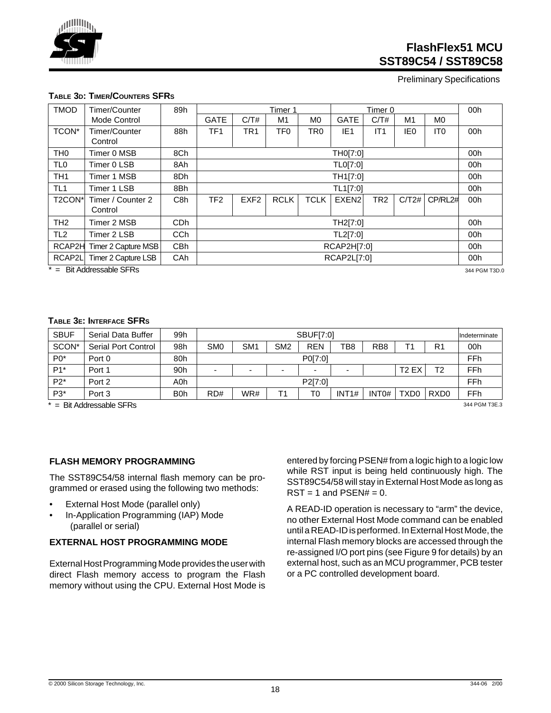Preliminary Specifications

|  | TABLE 3D: TIMER/COUNTERS SFRS |  |
|--|-------------------------------|--|
|--|-------------------------------|--|

| <b>TMOD</b>         | Timer/Counter                | 89h              |                 |                  | Timer 1         |                 |                   | Timer 0         |       |                 | 00h           |
|---------------------|------------------------------|------------------|-----------------|------------------|-----------------|-----------------|-------------------|-----------------|-------|-----------------|---------------|
|                     | Mode Control                 |                  | <b>GATE</b>     | C/T#             | M1              | M <sub>0</sub>  | <b>GATE</b>       | C/T#            | M1    | M0              |               |
| TCON*               | Timer/Counter<br>Control     | 88h              | TF <sub>1</sub> | TR <sub>1</sub>  | TF <sub>0</sub> | TR <sub>0</sub> | IE <sub>1</sub>   | IT1             | IE0   | IT <sub>0</sub> | 00h           |
| TH <sub>0</sub>     | Timer 0 MSB                  | 8Ch              |                 |                  |                 |                 | TH0[7:0]          |                 |       |                 | 00h           |
| TL <sub>0</sub>     | Timer 0 LSB                  | 8Ah              |                 |                  |                 |                 | TL0[7:0]          |                 |       |                 | 00h           |
| TH <sub>1</sub>     | Timer 1 MSB                  | 8Dh              |                 |                  |                 |                 | TH1[7:0]          |                 |       |                 | 00h           |
| TL <sub>1</sub>     | Timer 1 LSB                  | 8Bh              |                 |                  |                 |                 | TL1[7:0]          |                 |       |                 | 00h           |
| T <sub>2</sub> CON* | Timer / Counter 2<br>Control | C <sub>8</sub> h | TF <sub>2</sub> | EXF <sub>2</sub> | <b>RCLK</b>     | <b>TCLK</b>     | EXEN <sub>2</sub> | TR <sub>2</sub> | C/T2# | CP/RL2#         | 00h           |
| TH <sub>2</sub>     | Timer 2 MSB                  | C <sub>D</sub> h |                 |                  |                 |                 | TH2[7:0]          |                 |       |                 | 00h           |
| TL <sub>2</sub>     | Timer 2 LSB                  | CC <sub>h</sub>  |                 |                  |                 |                 | TL2[7:0]          |                 |       |                 | 00h           |
| RCAP2H              | Timer 2 Capture MSB          | CB <sub>h</sub>  |                 | RCAP2H[7:0]      |                 |                 |                   |                 |       |                 | 00h           |
| RCAP2L              | Timer 2 Capture LSB          | CAh              |                 |                  |                 |                 | RCAP2L[7:0]       |                 |       |                 | 00h           |
|                     | $* =$ Bit Addressable SFRs   |                  |                 |                  |                 |                 |                   |                 |       |                 | 344 PGM T3D.0 |

#### **TABLE 3E: INTERFACE SFRS**

| <b>SBUF</b> | Serial Data Buffer         | 99h |                          |                          |                          | <b>SBUF[7:0]</b> |       |                   |                   |                  | lIndeterminate |
|-------------|----------------------------|-----|--------------------------|--------------------------|--------------------------|------------------|-------|-------------------|-------------------|------------------|----------------|
| SCON*       | Serial Port Control        | 98h | SM <sub>0</sub>          | SM <sub>1</sub>          | SM <sub>2</sub>          | <b>REN</b>       | TB8   | R <sub>B</sub> 8  | Τ1                | R <sub>1</sub>   | 00h            |
| $P0*$       | Port 0                     | 80h |                          |                          |                          | P0[7:0]          |       |                   |                   |                  | FFh            |
| $P1*$       | Port 1                     | 90h | $\overline{\phantom{0}}$ | $\overline{\phantom{0}}$ | $\overline{\phantom{a}}$ |                  | -     |                   | T <sub>2</sub> EX | Т2               | FFh            |
| $P2*$       | Port 2                     | A0h |                          |                          |                          | P2[7:0]          |       |                   |                   |                  | FFh            |
| $P3*$       | Port 3                     | B0h | RD#                      | WR#                      | Τ1                       | T0               | INT1# | INT <sub>0#</sub> | TXD0              | RXD <sub>0</sub> | FFh            |
|             | $*$ = Rit Addressable SFRs |     |                          |                          |                          |                  |       |                   |                   |                  | 344 PGM T3E.3  |

#### **FLASH MEMORY PROGRAMMING**

The SST89C54/58 internal flash memory can be programmed or erased using the following two methods:

- External Host Mode (parallel only)
- In-Application Programming (IAP) Mode (parallel or serial)

#### **EXTERNAL HOST PROGRAMMING MODE**

External Host Programming Mode provides the user with direct Flash memory access to program the Flash memory without using the CPU. External Host Mode is entered by forcing PSEN# from a logic high to a logic low while RST input is being held continuously high. The SST89C54/58 will stay in External Host Mode as long as  $RST = 1$  and  $PSFN# = 0$ .

A READ-ID operation is necessary to "arm" the device, no other External Host Mode command can be enabled until a READ-ID is performed. In External Host Mode, the internal Flash memory blocks are accessed through the re-assigned I/O port pins (see Figure 9 for details) by an external host, such as an MCU programmer, PCB tester or a PC controlled development board.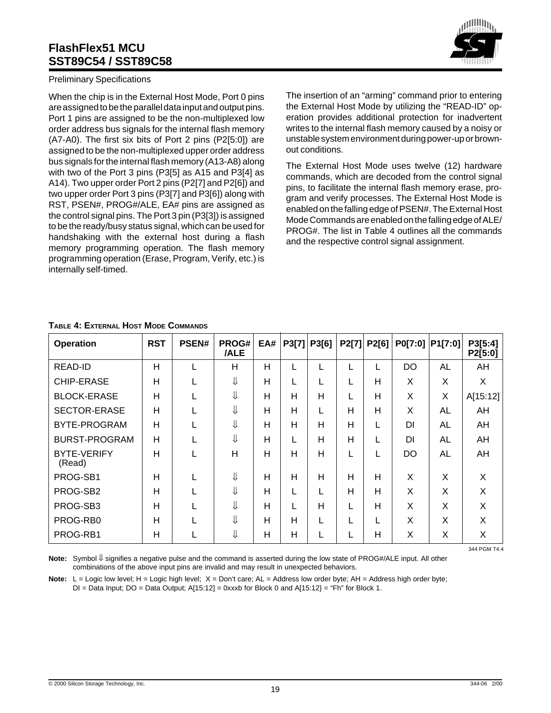

When the chip is in the External Host Mode, Port 0 pins are assigned to be the parallel data input and output pins. Port 1 pins are assigned to be the non-multiplexed low order address bus signals for the internal flash memory (A7-A0). The first six bits of Port 2 pins (P2[5:0]) are assigned to be the non-multiplexed upper order address bus signals for the internal flash memory (A13-A8) along with two of the Port 3 pins (P3[5] as A15 and P3[4] as A14). Two upper order Port 2 pins (P2[7] and P2[6]) and two upper order Port 3 pins (P3[7] and P3[6]) along with RST, PSEN#, PROG#/ALE, EA# pins are assigned as the control signal pins. The Port 3 pin (P3[3]) is assigned to be the ready/busy status signal, which can be used for handshaking with the external host during a flash memory programming operation. The flash memory programming operation (Erase, Program, Verify, etc.) is internally self-timed.



The insertion of an "arming" command prior to entering the External Host Mode by utilizing the "READ-ID" operation provides additional protection for inadvertent writes to the internal flash memory caused by a noisy or unstable system environment during power-up or brownout conditions.

The External Host Mode uses twelve (12) hardware commands, which are decoded from the control signal pins, to facilitate the internal flash memory erase, program and verify processes. The External Host Mode is enabled on the falling edge of PSEN#. The External Host Mode Commands are enabled on the falling edge of ALE/ PROG#. The list in Table 4 outlines all the commands and the respective control signal assignment.

| <b>Operation</b>             | <b>RST</b> | PSEN# | PROG#<br>/ALE | EA# | P3[7] | P3[6] | P2[7] | P2[6] | P0[7:0]   | P1[7:0]   | P3[5:4]<br>P2[5:0] |
|------------------------------|------------|-------|---------------|-----|-------|-------|-------|-------|-----------|-----------|--------------------|
| READ-ID                      | H          |       | Н             | Н   |       |       |       |       | <b>DO</b> | AL        | AH                 |
| <b>CHIP-ERASE</b>            | H          |       | ⇓             | H   |       |       |       | Н     | X         | X         | X                  |
| <b>BLOCK-ERASE</b>           | H          |       | ⇓             | H   | H     | H     |       | Н     | X         | X         | A[15:12]           |
| SECTOR-ERASE                 | H          |       | ⇓             | H   | H     |       | Н     | H     | X         | AL        | AH                 |
| BYTE-PROGRAM                 | H          |       | ⇓             | H   | H     | н     | H     |       | DI        | <b>AL</b> | AH                 |
| <b>BURST-PROGRAM</b>         | H          |       | ⇓             | Н   |       | н     | Н     |       | DI        | AL        | AH                 |
| <b>BYTE-VERIFY</b><br>(Read) | H          |       | H             | H   | H     | H     |       |       | <b>DO</b> | <b>AL</b> | AH                 |
| PROG-SB1                     | H          |       | ⇓             | H   | H     | H     | H     | H     | X         | X         | X                  |
| PROG-SB2                     | H          |       | ⇓             | H   |       |       | H     | H     | X         | X         | X                  |
| PROG-SB3                     | H          |       | ⇓             | H   |       | н     |       | Н     | X         | X         | X                  |
| PROG-RB0                     | H          |       | ⇓             | H   | H     |       |       |       | X         | Χ         | X                  |
| PROG-RB1                     | H          |       | ⇓             | Н   | H     |       |       | Н     | X         | Χ         | Χ                  |

#### **TABLE 4: EXTERNAL HOST MODE COMMANDS**

**Note:** Symbol ↓ signifies a negative pulse and the command is asserted during the low state of PROG#/ALE input. All other combinations of the above input pins are invalid and may result in unexpected behaviors.

Note: L = Logic low level; H = Logic high level; X = Don't care; AL = Address low order byte; AH = Address high order byte;  $DI = Data Input$ ;  $DO = Data Output$ ;  $A[15:12] = 0$ xxxb for Block 0 and  $A[15:12] = "Fn"$  for Block 1.

344 PGM T4.4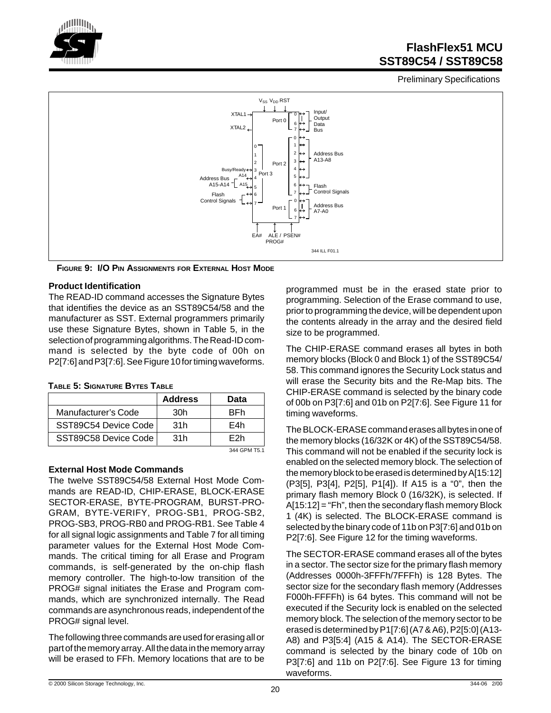

Preliminary Specifications



**FIGURE 9: I/O PIN ASSIGNMENTS FOR EXTERNAL HOST MODE**

#### **Product Identification**

The READ-ID command accesses the Signature Bytes that identifies the device as an SST89C54/58 and the manufacturer as SST. External programmers primarily use these Signature Bytes, shown in Table 5, in the selection of programming algorithms. The Read-ID command is selected by the byte code of 00h on P2[7:6] and P3[7:6]. See Figure 10 for timing waveforms.

|                      | <b>Address</b> | Data           |
|----------------------|----------------|----------------|
| Manufacturer's Code  | 30h            | <b>BFh</b>     |
| SST89C54 Device Code | 31h            | F4h            |
| SST89C58 Device Code | 31h            | F2h            |
|                      |                | $244$ CDM TE 4 |

### **TABLE 5: SIGNATURE BYTES TABLE**

#### **External Host Mode Commands**

The twelve SST89C54/58 External Host Mode Commands are READ-ID, CHIP-ERASE, BLOCK-ERASE SECTOR-ERASE, BYTE-PROGRAM, BURST-PRO-GRAM, BYTE-VERIFY, PROG-SB1, PROG-SB2, PROG-SB3, PROG-RB0 and PROG-RB1. See Table 4 for all signal logic assignments and Table 7 for all timing parameter values for the External Host Mode Commands. The critical timing for all Erase and Program commands, is self-generated by the on-chip flash memory controller. The high-to-low transition of the PROG# signal initiates the Erase and Program commands, which are synchronized internally. The Read commands are asynchronous reads, independent of the PROG# signal level.

The following three commands are used for erasing all or part of the memory array. All the data in the memory array will be erased to FFh. Memory locations that are to be

programmed must be in the erased state prior to programming. Selection of the Erase command to use, prior to programming the device, will be dependent upon the contents already in the array and the desired field size to be programmed.

The CHIP-ERASE command erases all bytes in both memory blocks (Block 0 and Block 1) of the SST89C54/ 58. This command ignores the Security Lock status and will erase the Security bits and the Re-Map bits. The CHIP-ERASE command is selected by the binary code of 00b on P3[7:6] and 01b on P2[7:6]. See Figure 11 for timing waveforms.

The BLOCK-ERASE command erases all bytes in one of the memory blocks (16/32K or 4K) of the SST89C54/58. This command will not be enabled if the security lock is enabled on the selected memory block. The selection of the memory block to be erased is determined by A[15:12] (P3[5], P3[4], P2[5], P1[4]). If A15 is a "0", then the primary flash memory Block 0 (16/32K), is selected. If A[15:12] = "Fh", then the secondary flash memory Block 1 (4K) is selected. The BLOCK-ERASE command is selected by the binary code of 11b on P3[7:6] and 01b on P2[7:6]. See Figure 12 for the timing waveforms.

The SECTOR-ERASE command erases all of the bytes in a sector. The sector size for the primary flash memory (Addresses 0000h-3FFFh/7FFFh) is 128 Bytes. The sector size for the secondary flash memory (Addresses F000h-FFFFh) is 64 bytes. This command will not be executed if the Security lock is enabled on the selected memory block. The selection of the memory sector to be erased is determined by P1[7:6] (A7 & A6), P2[5:0] (A13- A8) and P3[5:4] (A15 & A14). The SECTOR-ERASE command is selected by the binary code of 10b on P3[7:6] and 11b on P2[7:6]. See Figure 13 for timing waveforms.

<sup>344</sup> GPM T5.1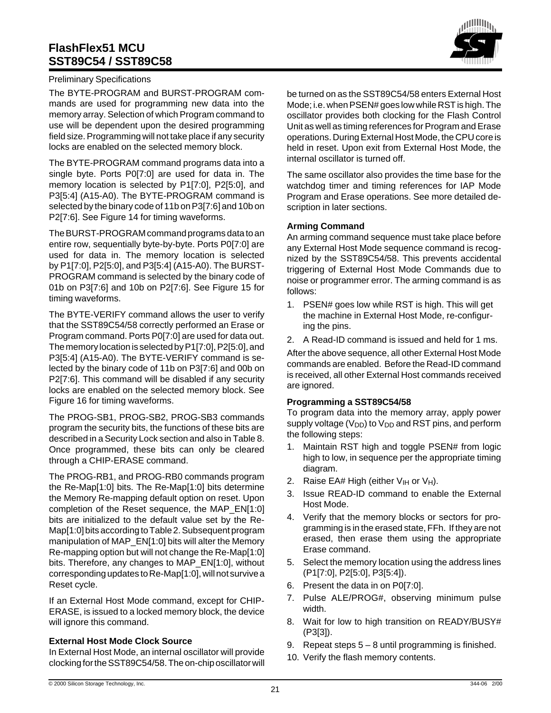

#### Preliminary Specifications

The BYTE-PROGRAM and BURST-PROGRAM commands are used for programming new data into the memory array. Selection of which Program command to use will be dependent upon the desired programming field size. Programming will not take place if any security locks are enabled on the selected memory block.

The BYTE-PROGRAM command programs data into a single byte. Ports P0[7:0] are used for data in. The memory location is selected by P1[7:0], P2[5:0], and P3[5:4] (A15-A0). The BYTE-PROGRAM command is selected by the binary code of 11b on P3[7:6] and 10b on P2[7:6]. See Figure 14 for timing waveforms.

The BURST-PROGRAM command programs data to an entire row, sequentially byte-by-byte. Ports P0[7:0] are used for data in. The memory location is selected by P1[7:0], P2[5:0], and P3[5:4] (A15-A0). The BURST-PROGRAM command is selected by the binary code of 01b on P3[7:6] and 10b on P2[7:6]. See Figure 15 for timing waveforms.

The BYTE-VERIFY command allows the user to verify that the SST89C54/58 correctly performed an Erase or Program command. Ports P0[7:0] are used for data out. The memory location is selected by P1[7:0], P2[5:0], and P3[5:4] (A15-A0). The BYTE-VERIFY command is selected by the binary code of 11b on P3[7:6] and 00b on P2[7:6]. This command will be disabled if any security locks are enabled on the selected memory block. See Figure 16 for timing waveforms.

The PROG-SB1, PROG-SB2, PROG-SB3 commands program the security bits, the functions of these bits are described in a Security Lock section and also in Table 8. Once programmed, these bits can only be cleared through a CHIP-ERASE command.

The PROG-RB1, and PROG-RB0 commands program the Re-Map[1:0] bits. The Re-Map[1:0] bits determine the Memory Re-mapping default option on reset. Upon completion of the Reset sequence, the MAP\_EN[1:0] bits are initialized to the default value set by the Re-Map[1:0] bits according to Table 2. Subsequent program manipulation of MAP\_EN[1:0] bits will alter the Memory Re-mapping option but will not change the Re-Map[1:0] bits. Therefore, any changes to MAP\_EN[1:0], without corresponding updates to Re-Map[1:0], will not survive a Reset cycle.

If an External Host Mode command, except for CHIP-ERASE, is issued to a locked memory block, the device will ignore this command.

#### **External Host Mode Clock Source**

In External Host Mode, an internal oscillator will provide clocking for the SST89C54/58. The on-chip oscillator will

be turned on as the SST89C54/58 enters External Host Mode; i.e. when PSEN# goes low while RST is high. The oscillator provides both clocking for the Flash Control Unit as well as timing references for Program and Erase operations. During External Host Mode, the CPU core is held in reset. Upon exit from External Host Mode, the internal oscillator is turned off.

The same oscillator also provides the time base for the watchdog timer and timing references for IAP Mode Program and Erase operations. See more detailed description in later sections.

#### **Arming Command**

An arming command sequence must take place before any External Host Mode sequence command is recognized by the SST89C54/58. This prevents accidental triggering of External Host Mode Commands due to noise or programmer error. The arming command is as follows:

- 1. PSEN# goes low while RST is high. This will get the machine in External Host Mode, re-configuring the pins.
- 2. A Read-ID command is issued and held for 1 ms.

After the above sequence, all other External Host Mode commands are enabled. Before the Read-ID command is received, all other External Host commands received are ignored.

#### **Programming a SST89C54/58**

To program data into the memory array, apply power supply voltage ( $V_{DD}$ ) to  $V_{DD}$  and RST pins, and perform the following steps:

- 1. Maintain RST high and toggle PSEN# from logic high to low, in sequence per the appropriate timing diagram.
- 2. Raise EA# High (either  $V_{H}$  or  $V_{H}$ ).
- 3. Issue READ-ID command to enable the External Host Mode.
- 4. Verify that the memory blocks or sectors for programming is in the erased state, FFh. If they are not erased, then erase them using the appropriate Erase command.
- 5. Select the memory location using the address lines (P1[7:0], P2[5:0], P3[5:4]).
- 6. Present the data in on P0[7:0].
- 7. Pulse ALE/PROG#, observing minimum pulse width.
- 8. Wait for low to high transition on READY/BUSY# (P3[3]).
- 9. Repeat steps  $5 8$  until programming is finished.
- 10. Verify the flash memory contents.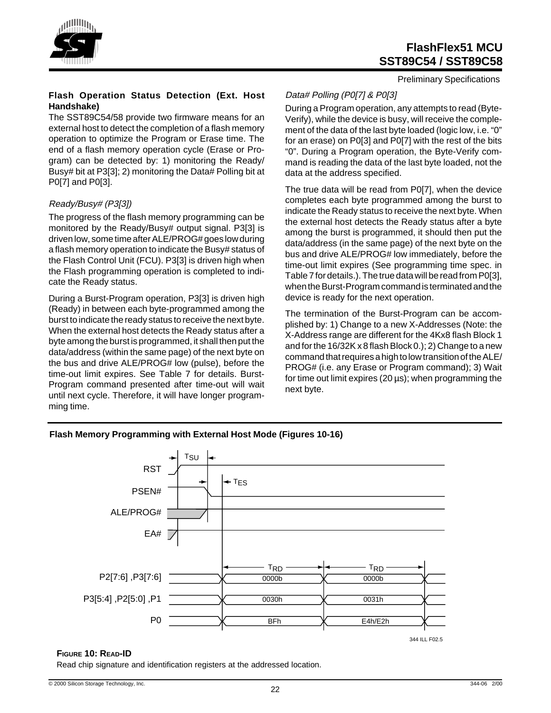

Preliminary Specifications

#### **Flash Operation Status Detection (Ext. Host Handshake)**

The SST89C54/58 provide two firmware means for an external host to detect the completion of a flash memory operation to optimize the Program or Erase time. The end of a flash memory operation cycle (Erase or Program) can be detected by: 1) monitoring the Ready/ Busy# bit at P3[3]; 2) monitoring the Data# Polling bit at P0[7] and P0[3].

#### Ready/Busy# (P3[3])

The progress of the flash memory programming can be monitored by the Ready/Busy# output signal. P3[3] is driven low, some time after ALE/PROG# goes low during a flash memory operation to indicate the Busy# status of the Flash Control Unit (FCU). P3[3] is driven high when the Flash programming operation is completed to indicate the Ready status.

During a Burst-Program operation, P3[3] is driven high (Ready) in between each byte-programmed among the burst to indicate the ready status to receive the next byte. When the external host detects the Ready status after a byte among the burst is programmed, it shall then put the data/address (within the same page) of the next byte on the bus and drive ALE/PROG# low (pulse), before the time-out limit expires. See Table 7 for details. Burst-Program command presented after time-out will wait until next cycle. Therefore, it will have longer programming time.

## Data# Polling (P0[7] & P0[3]

During a Program operation, any attempts to read (Byte-Verify), while the device is busy, will receive the complement of the data of the last byte loaded (logic low, i.e. "0" for an erase) on P0[3] and P0[7] with the rest of the bits "0". During a Program operation, the Byte-Verify command is reading the data of the last byte loaded, not the data at the address specified.

The true data will be read from P0[7], when the device completes each byte programmed among the burst to indicate the Ready status to receive the next byte. When the external host detects the Ready status after a byte among the burst is programmed, it should then put the data/address (in the same page) of the next byte on the bus and drive ALE/PROG# low immediately, before the time-out limit expires (See programming time spec. in Table 7 for details.). The true data will be read from P0[3], when the Burst-Program command is terminated and the device is ready for the next operation.

The termination of the Burst-Program can be accomplished by: 1) Change to a new X-Addresses (Note: the X-Address range are different for the 4Kx8 flash Block 1 and for the 16/32K x 8 flash Block 0.); 2) Change to a new command that requires a high to low transition of the ALE/ PROG# (i.e. any Erase or Program command); 3) Wait for time out limit expires (20 µs); when programming the next byte.

#### **Flash Memory Programming with External Host Mode (Figures 10-16)**



#### **FIGURE 10: READ-ID**

Read chip signature and identification registers at the addressed location.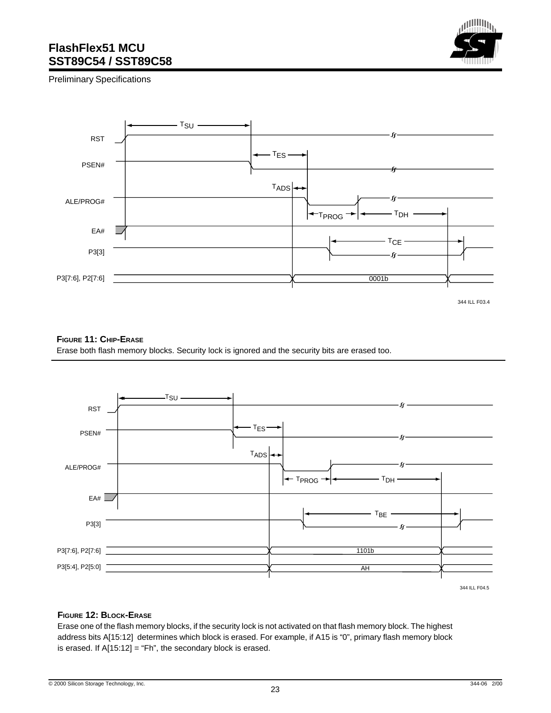

Preliminary Specifications



344 ILL F03.4

#### **FIGURE 11: CHIP-ERASE**

Erase both flash memory blocks. Security lock is ignored and the security bits are erased too.



344 ILL F04.5

#### **FIGURE 12: BLOCK-ERASE**

Erase one of the flash memory blocks, if the security lock is not activated on that flash memory block. The highest address bits A[15:12] determines which block is erased. For example, if A15 is "0", primary flash memory block is erased. If  $A[15:12] = "Fh$ ", the secondary block is erased.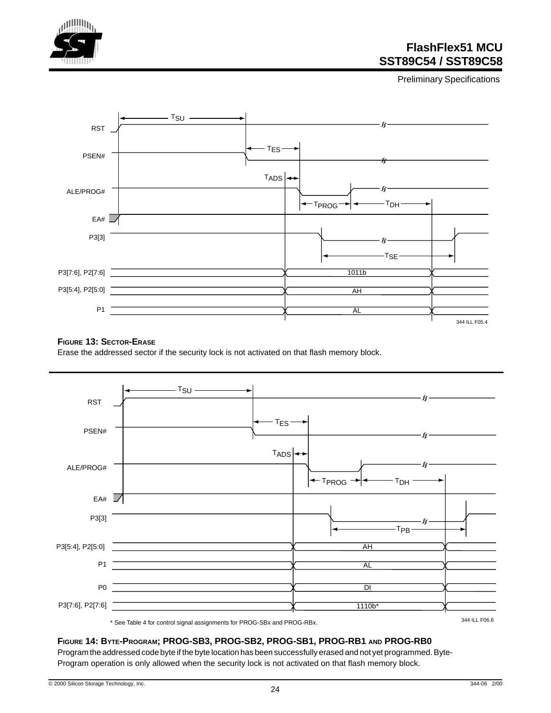

Preliminary Specifications



#### **FIGURE 13: SECTOR-ERASE**

Erase the addressed sector if the security lock is not activated on that flash memory block.



#### **FIGURE 14: BYTE-PROGRAM; PROG-SB3, PROG-SB2, PROG-SB1, PROG-RB1 AND PROG-RB0**

Program the addressed code byte if the byte location has been successfully erased and not yet programmed. Byte-Program operation is only allowed when the security lock is not activated on that flash memory block.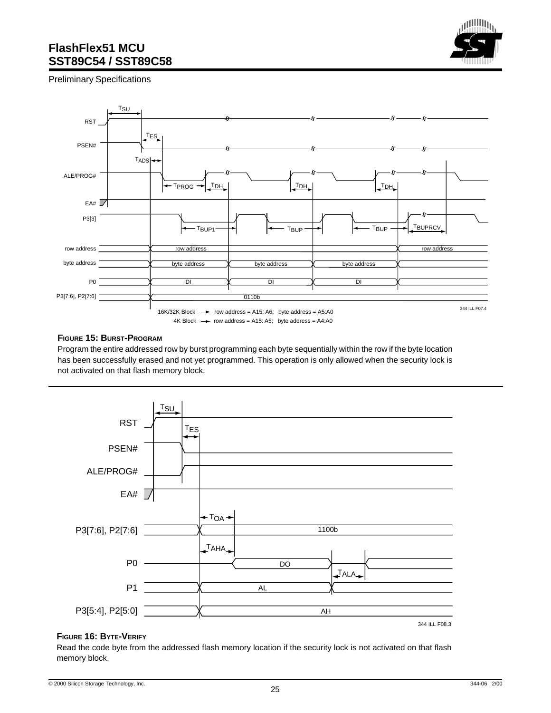

Preliminary Specifications



#### **FIGURE 15: BURST-PROGRAM**

Program the entire addressed row by burst programming each byte sequentially within the row if the byte location has been successfully erased and not yet programmed. This operation is only allowed when the security lock is not activated on that flash memory block.



#### **FIGURE 16: BYTE-VERIFY**

Read the code byte from the addressed flash memory location if the security lock is not activated on that flash memory block.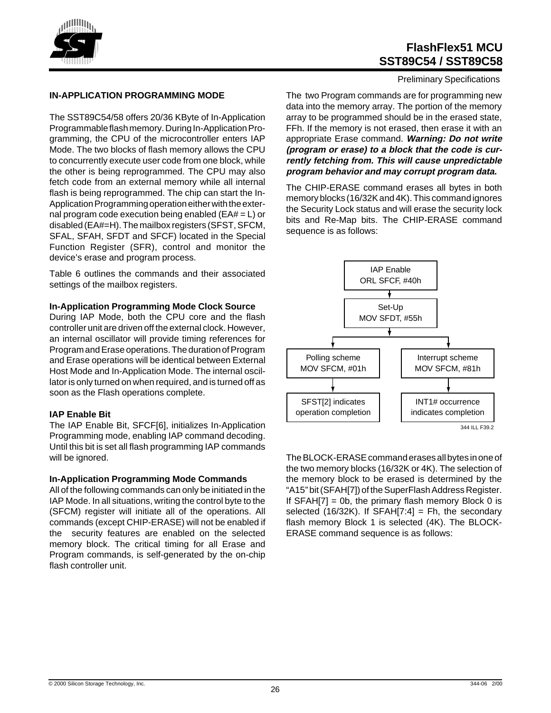

#### **IN-APPLICATION PROGRAMMING MODE**

The SST89C54/58 offers 20/36 KByte of In-Application Programmable flash memory. During In-Application Programming, the CPU of the microcontroller enters IAP Mode. The two blocks of flash memory allows the CPU to concurrently execute user code from one block, while the other is being reprogrammed. The CPU may also fetch code from an external memory while all internal flash is being reprogrammed. The chip can start the In-Application Programming operation either with the external program code execution being enabled (EA# = L) or disabled (EA#=H). The mailbox registers (SFST, SFCM, SFAL, SFAH, SFDT and SFCF) located in the Special Function Register (SFR), control and monitor the device's erase and program process.

Table 6 outlines the commands and their associated settings of the mailbox registers.

#### **In-Application Programming Mode Clock Source**

During IAP Mode, both the CPU core and the flash controller unit are driven off the external clock. However, an internal oscillator will provide timing references for Program and Erase operations. The duration of Program and Erase operations will be identical between External Host Mode and In-Application Mode. The internal oscillator is only turned on when required, and is turned off as soon as the Flash operations complete.

#### **IAP Enable Bit**

The IAP Enable Bit, SFCF[6], initializes In-Application Programming mode, enabling IAP command decoding. Until this bit is set all flash programming IAP commands will be ignored.

#### **In-Application Programming Mode Commands**

All of the following commands can only be initiated in the IAP Mode. In all situations, writing the control byte to the (SFCM) register will initiate all of the operations. All commands (except CHIP-ERASE) will not be enabled if the security features are enabled on the selected memory block. The critical timing for all Erase and Program commands, is self-generated by the on-chip flash controller unit.

Preliminary Specifications

The two Program commands are for programming new data into the memory array. The portion of the memory array to be programmed should be in the erased state, FFh. If the memory is not erased, then erase it with an appropriate Erase command. **Warning: Do not write (program or erase) to a block that the code is currently fetching from. This will cause unpredictable program behavior and may corrupt program data.**

The CHIP-ERASE command erases all bytes in both memory blocks (16/32K and 4K). This command ignores the Security Lock status and will erase the security lock bits and Re-Map bits. The CHIP-ERASE command sequence is as follows:



The BLOCK-ERASE command erases all bytes in one of the two memory blocks (16/32K or 4K). The selection of the memory block to be erased is determined by the "A15" bit (SFAH[7]) of the SuperFlash Address Register. If  $SFAH[7] = 0b$ , the primary flash memory Block 0 is selected  $(16/32K)$ . If SFAH[7:4] = Fh, the secondary flash memory Block 1 is selected (4K). The BLOCK-ERASE command sequence is as follows: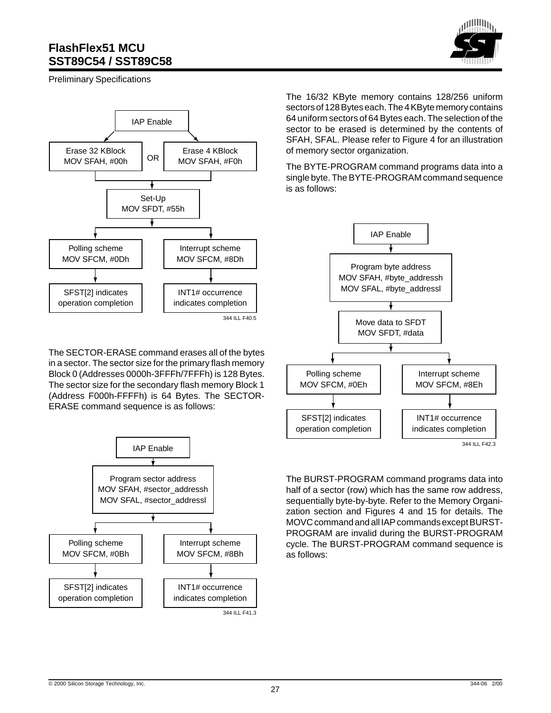

Preliminary Specifications



The SECTOR-ERASE command erases all of the bytes in a sector. The sector size for the primary flash memory Block 0 (Addresses 0000h-3FFFh/7FFFh) is 128 Bytes. The sector size for the secondary flash memory Block 1 (Address F000h-FFFFh) is 64 Bytes. The SECTOR-ERASE command sequence is as follows:



The 16/32 KByte memory contains 128/256 uniform sectors of 128 Bytes each. The 4 KByte memory contains 64 uniform sectors of 64 Bytes each. The selection of the sector to be erased is determined by the contents of SFAH, SFAL. Please refer to Figure 4 for an illustration of memory sector organization.

The BYTE-PROGRAM command programs data into a single byte. The BYTE-PROGRAM command sequence is as follows:



The BURST-PROGRAM command programs data into half of a sector (row) which has the same row address, sequentially byte-by-byte. Refer to the Memory Organization section and Figures 4 and 15 for details. The MOVC command and all IAP commands except BURST-PROGRAM are invalid during the BURST-PROGRAM cycle. The BURST-PROGRAM command sequence is as follows: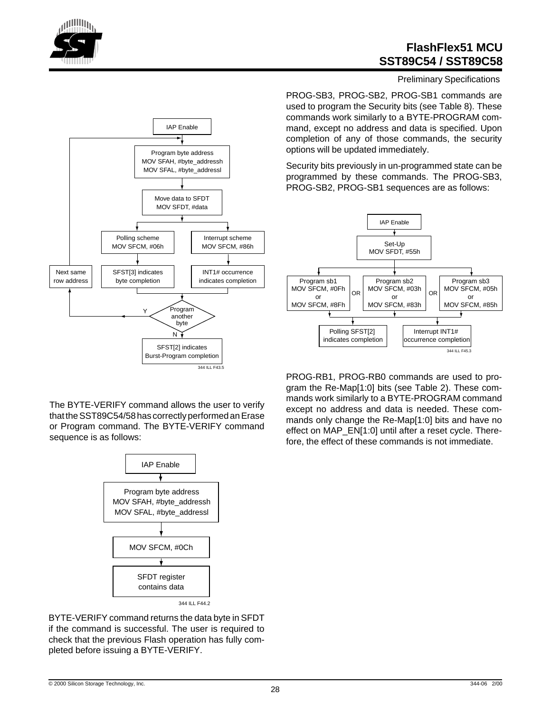



Preliminary Specifications

PROG-SB3, PROG-SB2, PROG-SB1 commands are used to program the Security bits (see Table 8). These commands work similarly to a BYTE-PROGRAM command, except no address and data is specified. Upon completion of any of those commands, the security options will be updated immediately.

Security bits previously in un-programmed state can be programmed by these commands. The PROG-SB3, PROG-SB2, PROG-SB1 sequences are as follows:



PROG-RB1, PROG-RB0 commands are used to program the Re-Map[1:0] bits (see Table 2). These commands work similarly to a BYTE-PROGRAM command except no address and data is needed. These commands only change the Re-Map[1:0] bits and have no effect on MAP\_EN[1:0] until after a reset cycle. Therefore, the effect of these commands is not immediate.



The BYTE-VERIFY command allows the user to verify that the SST89C54/58 has correctly performed an Erase or Program command. The BYTE-VERIFY command sequence is as follows:



BYTE-VERIFY command returns the data byte in SFDT if the command is successful. The user is required to check that the previous Flash operation has fully completed before issuing a BYTE-VERIFY.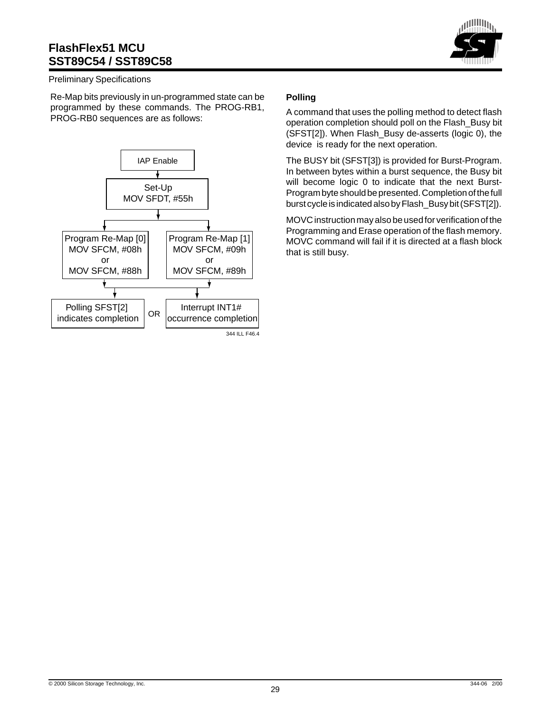

#### Preliminary Specifications

Re-Map bits previously in un-programmed state can be programmed by these commands. The PROG-RB1, PROG-RB0 sequences are as follows:



#### **Polling**

A command that uses the polling method to detect flash operation completion should poll on the Flash\_Busy bit (SFST[2]). When Flash\_Busy de-asserts (logic 0), the device is ready for the next operation.

The BUSY bit (SFST[3]) is provided for Burst-Program. In between bytes within a burst sequence, the Busy bit will become logic 0 to indicate that the next Burst-Program byte should be presented. Completion of the full burst cycle is indicated also by Flash\_Busy bit (SFST[2]).

MOVC instruction may also be used for verification of the Programming and Erase operation of the flash memory. MOVC command will fail if it is directed at a flash block that is still busy.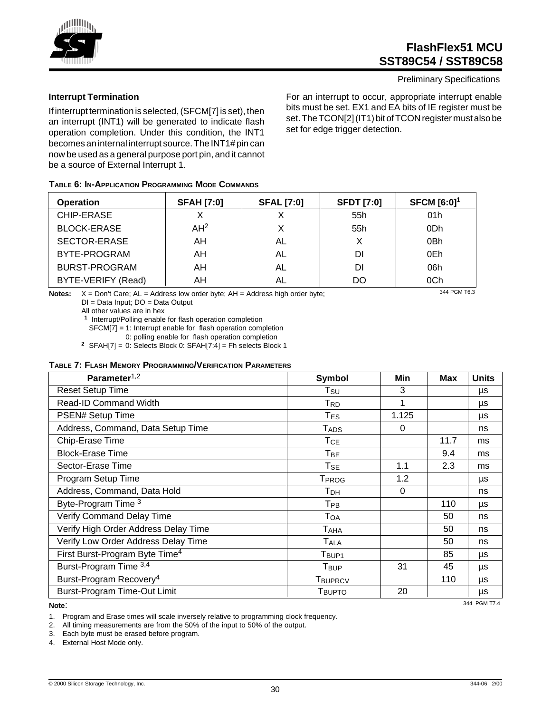

#### Preliminary Specifications

For an interrupt to occur, appropriate interrupt enable bits must be set. EX1 and EA bits of IE register must be set. The TCON[2] (IT1) bit of TCON register must also be set for edge trigger detection.

**TABLE 6: IN-APPLICATION PROGRAMMING MODE COMMANDS**

be a source of External Interrupt 1.

If interrupt termination is selected, (SFCM[7] is set), then an interrupt (INT1) will be generated to indicate flash operation completion. Under this condition, the INT1 becomes an internal interrupt source. The INT1# pin can now be used as a general purpose port pin, and it cannot

| <b>Operation</b>     | <b>SFAH [7:0]</b> | <b>SFAL [7:0]</b> | <b>SFDT [7:0]</b> | <b>SFCM</b> $[6:0]$ <sup>1</sup> |
|----------------------|-------------------|-------------------|-------------------|----------------------------------|
| CHIP-ERASE           |                   |                   | 55h               | 01h                              |
| <b>BLOCK-ERASE</b>   | AH <sup>2</sup>   |                   | 55h               | 0Dh                              |
| SECTOR-ERASE         | AH                | AL                | х                 | 0 <sub>Bh</sub>                  |
| BYTE-PROGRAM         | AH                | AL                | DI                | 0Eh                              |
| <b>BURST-PROGRAM</b> | AH                | AL                | DI                | 06h                              |
| BYTE-VERIFY (Read)   | AΗ                | AL                | DO                | 0Ch                              |

**Notes:** X = Don't Care; AL = Address low order byte; AH = Address high order byte;

DI = Data Input; DO = Data Output

All other values are in hex

**<sup>1</sup>** Interrupt/Polling enable for flash operation completion

SFCM[7] = 1: Interrupt enable for flash operation completion

0: polling enable for flash operation completion

**<sup>2</sup>** SFAH[7] = 0: Selects Block 0: SFAH[7:4] = Fh selects Block 1

#### **TABLE 7: FLASH MEMORY PROGRAMMING/VERIFICATION PARAMETERS**

| Parameter <sup>1,2</sup>                   | Symbol                     | Min      | Max  | <b>Units</b> |
|--------------------------------------------|----------------------------|----------|------|--------------|
| <b>Reset Setup Time</b>                    | Tsu                        | 3        |      | μs           |
| <b>Read-ID Command Width</b>               | Trd                        | 1        |      | μs           |
| PSEN# Setup Time                           | $T_{ES}$                   | 1.125    |      | μs           |
| Address, Command, Data Setup Time          | $T_{\sf ADS}$              | 0        |      | ns           |
| Chip-Erase Time                            | <b>T</b> <sub>CE</sub>     |          | 11.7 | ms           |
| <b>Block-Erase Time</b>                    | $T_{BE}$                   |          | 9.4  | ms           |
| Sector-Erase Time                          | $\mathsf{T}_{\mathsf{SE}}$ | 1.1      | 2.3  | ms           |
| Program Setup Time                         | <b>TPROG</b>               | 1.2      |      | μs           |
| Address, Command, Data Hold                | T <sub>DH</sub>            | $\Omega$ |      | ns           |
| Byte-Program Time 3                        | T <sub>PB</sub>            |          | 110  | μs           |
| Verify Command Delay Time                  | TOA                        |          | 50   | ns           |
| Verify High Order Address Delay Time       | T <sub>AHA</sub>           |          | 50   | ns           |
| Verify Low Order Address Delay Time        | <b>TALA</b>                |          | 50   | ns           |
| First Burst-Program Byte Time <sup>4</sup> | T <sub>BUP1</sub>          |          | 85   | μs           |
| Burst-Program Time 3,4                     | T <sub>BUP</sub>           | 31       | 45   | μs           |
| Burst-Program Recovery <sup>4</sup>        | <b>TBUPRCV</b>             |          | 110  | μs           |
| <b>Burst-Program Time-Out Limit</b>        | Твирто                     | 20       |      | μs           |
| .                                          |                            |          |      | 344 PGM T7 4 |

**Note**:

1. Program and Erase times will scale inversely relative to programming clock frequency.

2. All timing measurements are from the 50% of the input to 50% of the output.

3. Each byte must be erased before program.

4. External Host Mode only.



**Interrupt Termination**

344 PGM T6.3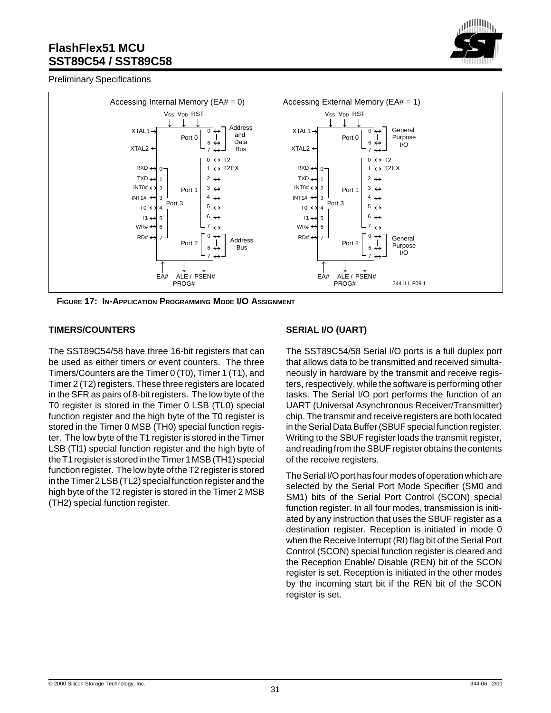

Preliminary Specifications



**FIGURE 17: IN-APPLICATION PROGRAMMING MODE I/O ASSIGNMENT**

#### **TIMERS/COUNTERS**

The SST89C54/58 have three 16-bit registers that can be used as either timers or event counters. The three Timers/Counters are the Timer 0 (T0), Timer 1 (T1), and Timer 2 (T2) registers. These three registers are located in the SFR as pairs of 8-bit registers. The low byte of the T0 register is stored in the Timer 0 LSB (TL0) special function register and the high byte of the T0 register is stored in the Timer 0 MSB (TH0) special function register. The low byte of the T1 register is stored in the Timer LSB (Tl1) special function register and the high byte of the T1 register is stored in the Timer 1 MSB (TH1) special function register. The low byte of the T2 register is stored in the Timer 2 LSB (TL2) special function register and the high byte of the T2 register is stored in the Timer 2 MSB (TH2) special function register.

#### **SERIAL I/O (UART)**

The SST89C54/58 Serial I/O ports is a full duplex port that allows data to be transmitted and received simultaneously in hardware by the transmit and receive registers, respectively, while the software is performing other tasks. The Serial I/O port performs the function of an UART (Universal Asynchronous Receiver/Transmitter) chip. The transmit and receive registers are both located in the Serial Data Buffer (SBUF special function register. Writing to the SBUF register loads the transmit register, and reading from the SBUF register obtains the contents of the receive registers.

The Serial I/O port has four modes of operation which are selected by the Serial Port Mode Specifier (SM0 and SM1) bits of the Serial Port Control (SCON) special function register. In all four modes, transmission is initiated by any instruction that uses the SBUF register as a destination register. Reception is initiated in mode 0 when the Receive Interrupt (RI) flag bit of the Serial Port Control (SCON) special function register is cleared and the Reception Enable/ Disable (REN) bit of the SCON register is set. Reception is initiated in the other modes by the incoming start bit if the REN bit of the SCON register is set.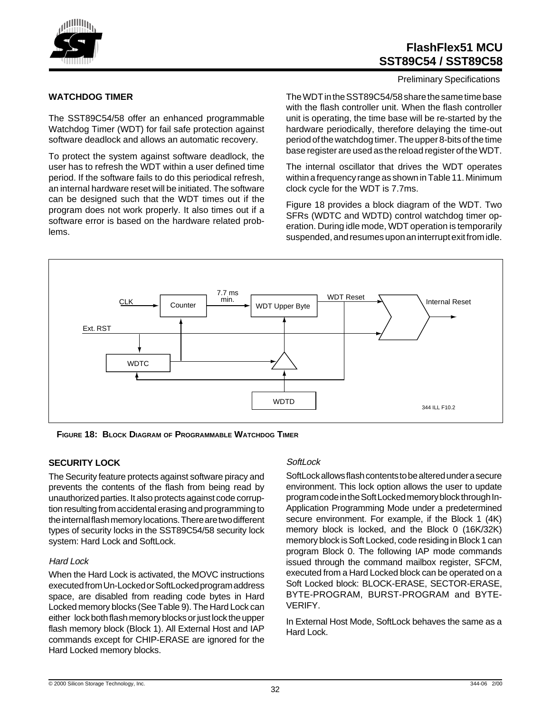

#### Preliminary Specifications

#### **WATCHDOG TIMER**

The SST89C54/58 offer an enhanced programmable Watchdog Timer (WDT) for fail safe protection against software deadlock and allows an automatic recovery.

To protect the system against software deadlock, the user has to refresh the WDT within a user defined time period. If the software fails to do this periodical refresh, an internal hardware reset will be initiated. The software can be designed such that the WDT times out if the program does not work properly. It also times out if a software error is based on the hardware related problems.

The WDT in the SST89C54/58 share the same time base with the flash controller unit. When the flash controller unit is operating, the time base will be re-started by the hardware periodically, therefore delaying the time-out period of the watchdog timer. The upper 8-bits of the time base register are used as the reload register of the WDT.

The internal oscillator that drives the WDT operates within a frequency range as shown in Table 11. Minimum clock cycle for the WDT is 7.7ms.

Figure 18 provides a block diagram of the WDT. Two SFRs (WDTC and WDTD) control watchdog timer operation. During idle mode, WDT operation is temporarily suspended, and resumes upon an interrupt exit from idle.



**FIGURE 18: BLOCK DIAGRAM OF PROGRAMMABLE WATCHDOG TIMER**

#### **SECURITY LOCK**

The Security feature protects against software piracy and prevents the contents of the flash from being read by unauthorized parties. It also protects against code corruption resulting from accidental erasing and programming to the internal flash memory locations. There are two different types of security locks in the SST89C54/58 security lock system: Hard Lock and SoftLock.

#### Hard Lock

When the Hard Lock is activated, the MOVC instructions executed from Un-Locked or SoftLocked program address space, are disabled from reading code bytes in Hard Locked memory blocks (See Table 9). The Hard Lock can either lock both flash memory blocks or just lock the upper flash memory block (Block 1). All External Host and IAP commands except for CHIP-ERASE are ignored for the Hard Locked memory blocks.

#### SoftLock

SoftLock allows flash contents to be altered under a secure environment. This lock option allows the user to update program code in the Soft Locked memory block through In-Application Programming Mode under a predetermined secure environment. For example, if the Block 1 (4K) memory block is locked, and the Block 0 (16K/32K) memory block is Soft Locked, code residing in Block 1 can program Block 0. The following IAP mode commands issued through the command mailbox register, SFCM, executed from a Hard Locked block can be operated on a Soft Locked block: BLOCK-ERASE, SECTOR-ERASE, BYTE-PROGRAM, BURST-PROGRAM and BYTE-VERIFY.

In External Host Mode, SoftLock behaves the same as a Hard Lock.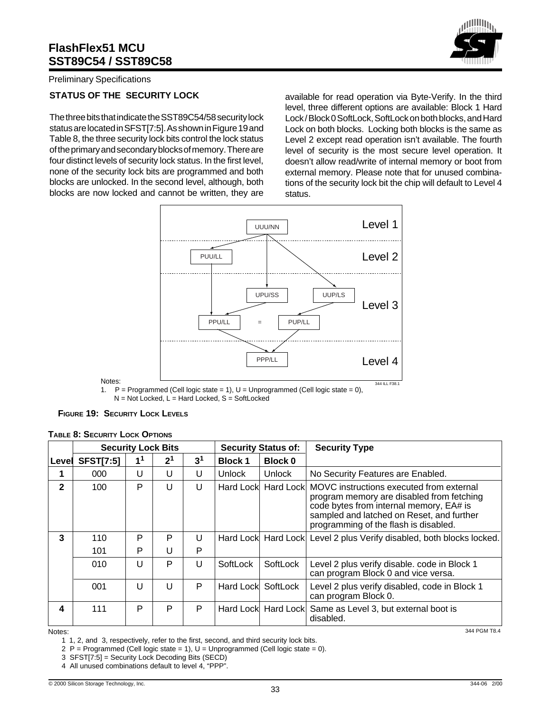

Preliminary Specifications

#### **STATUS OF THE SECURITY LOCK**

The three bits that indicate the SST89C54/58 security lock status are located in SFST[7:5]. As shown in Figure 19 and Table 8, the three security lock bits control the lock status of the primary and secondary blocks of memory. There are four distinct levels of security lock status. In the first level, none of the security lock bits are programmed and both blocks are unlocked. In the second level, although, both blocks are now locked and cannot be written, they are

available for read operation via Byte-Verify. In the third level, three different options are available: Block 1 Hard Lock / Block 0 SoftLock, SoftLock on both blocks, and Hard Lock on both blocks. Locking both blocks is the same as Level 2 except read operation isn't available. The fourth level of security is the most secure level operation. It doesn't allow read/write of internal memory or boot from external memory. Please note that for unused combinations of the security lock bit the chip will default to Level 4 status.



1.  $P =$  Programmed (Cell logic state = 1), U = Unprogrammed (Cell logic state = 0), N = Not Locked, L = Hard Locked, S = SoftLocked

| <b>FIGURE 19: SECURITY LOCK LEVELS</b> |  |  |  |
|----------------------------------------|--|--|--|
|----------------------------------------|--|--|--|

|              | <b>Security Lock Bits</b> |                |                | <b>Security Status of:</b> |                    | <b>Security Type</b> |                                                                                                                                                                                                                        |
|--------------|---------------------------|----------------|----------------|----------------------------|--------------------|----------------------|------------------------------------------------------------------------------------------------------------------------------------------------------------------------------------------------------------------------|
| Level        | <b>SFST[7:5]</b>          | 1 <sup>1</sup> | 2 <sup>1</sup> | 3 <sup>1</sup>             | <b>Block1</b>      | <b>Block 0</b>       |                                                                                                                                                                                                                        |
|              | 000                       | U              | U              | U                          | <b>Unlock</b>      | <b>Unlock</b>        | No Security Features are Enabled.                                                                                                                                                                                      |
| $\mathbf{2}$ | 100                       | P              | U              | U                          |                    | Hard Lock Hard Lock  | MOVC instructions executed from external<br>program memory are disabled from fetching<br>code bytes from internal memory, EA# is<br>sampled and latched on Reset, and further<br>programming of the flash is disabled. |
| 3            | 110                       | P              | P              | U                          |                    |                      | Hard Lock Hard Lock Level 2 plus Verify disabled, both blocks locked.                                                                                                                                                  |
|              | 101                       | P              | U              | P                          |                    |                      |                                                                                                                                                                                                                        |
|              | 010                       | U              | P              | U                          | SoftLock           | SoftLock             | Level 2 plus verify disable. code in Block 1<br>can program Block 0 and vice versa.                                                                                                                                    |
|              | 001                       | U              | U              | P                          | Hard Lock SoftLock |                      | Level 2 plus verify disabled, code in Block 1<br>can program Block 0.                                                                                                                                                  |
| 4            | 111                       | P              | P              | P                          |                    | Hard Lock Hard Lock  | Same as Level 3, but external boot is<br>disabled.                                                                                                                                                                     |

#### **TABLE 8: SECURITY LOCK OPTIONS**

Notes:

Notes:

1 1, 2, and 3, respectively, refer to the first, second, and third security lock bits.

2 P = Programmed (Cell logic state = 1),  $U =$  Unprogrammed (Cell logic state = 0).

3 SFST[7:5] = Security Lock Decoding Bits (SECD)

4 All unused combinations default to level 4, "PPP".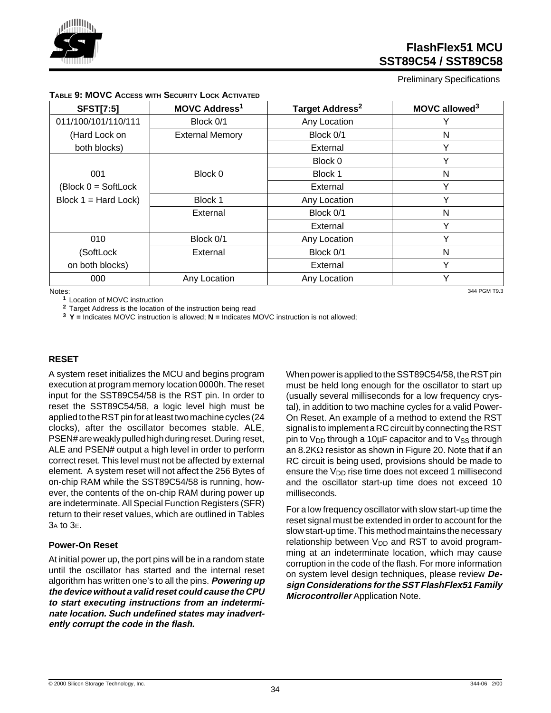

Preliminary Specifications

| <b>SFST[7:5]</b>                        | <b>MOVC Address<sup>1</sup></b> | Target Address <sup>2</sup> | MOVC allowed <sup>3</sup> |
|-----------------------------------------|---------------------------------|-----------------------------|---------------------------|
| 011/100/101/110/111                     | Block 0/1                       | Any Location                | Y                         |
| (Hard Lock on                           | <b>External Memory</b>          | Block 0/1                   | N                         |
| both blocks)                            |                                 | External                    | Υ                         |
|                                         |                                 | Block 0                     |                           |
| 001                                     | Block 0                         | Block 1                     | N                         |
| $\textsf{Block } 0 = \textsf{SoftLock}$ |                                 | External                    | Υ                         |
| Block $1 = Hard Lock$                   | Block 1                         | Any Location                | $\checkmark$              |
|                                         | External                        | Block 0/1                   | N                         |
|                                         |                                 | External                    | $\checkmark$              |
| 010                                     | Block 0/1                       | Any Location                | $\checkmark$              |
| (SoftLock                               | External                        | Block 0/1                   | N                         |
| on both blocks)                         |                                 | External                    | Y                         |
| 000                                     | Any Location                    | Any Location                | ٧                         |
| Notes.                                  |                                 |                             | 344 PGM T9 3              |

#### **TABLE 9: MOVC ACCESS WITH SECURITY LOCK ACTIVATED**

Notes:

**<sup>1</sup>**Location of MOVC instruction

**<sup>2</sup>**Target Address is the location of the instruction being read

**3 Y =** Indicates MOVC instruction is allowed; **N =** Indicates MOVC instruction is not allowed;

#### **RESET**

A system reset initializes the MCU and begins program execution at program memory location 0000h. The reset input for the SST89C54/58 is the RST pin. In order to reset the SST89C54/58, a logic level high must be applied to the RST pin for at least two machine cycles (24 clocks), after the oscillator becomes stable. ALE, PSEN# are weakly pulled high during reset. During reset, ALE and PSEN# output a high level in order to perform correct reset. This level must not be affected by external element. A system reset will not affect the 256 Bytes of on-chip RAM while the SST89C54/58 is running, however, the contents of the on-chip RAM during power up are indeterminate. All Special Function Registers (SFR) return to their reset values, which are outlined in Tables 3A to 3E.

#### **Power-On Reset**

At initial power up, the port pins will be in a random state until the oscillator has started and the internal reset algorithm has written one's to all the pins. **Powering up the device without a valid reset could cause the CPU to start executing instructions from an indeterminate location. Such undefined states may inadvertently corrupt the code in the flash.**

When power is applied to the SST89C54/58, the RST pin must be held long enough for the oscillator to start up (usually several milliseconds for a low frequency crystal), in addition to two machine cycles for a valid Power-On Reset. An example of a method to extend the RST signal is to implement a RC circuit by connecting the RST pin to  $V_{DD}$  through a 10µF capacitor and to  $V_{SS}$  through an 8.2K $\Omega$  resistor as shown in Figure 20. Note that if an RC circuit is being used, provisions should be made to ensure the  $V_{DD}$  rise time does not exceed 1 millisecond and the oscillator start-up time does not exceed 10 milliseconds.

For a low frequency oscillator with slow start-up time the reset signal must be extended in order to account for the slow start-up time. This method maintains the necessary relationship between  $V_{DD}$  and RST to avoid programming at an indeterminate location, which may cause corruption in the code of the flash. For more information on system level design techniques, please review **Design Considerations for the SST FlashFlex51 Family Microcontroller** Application Note.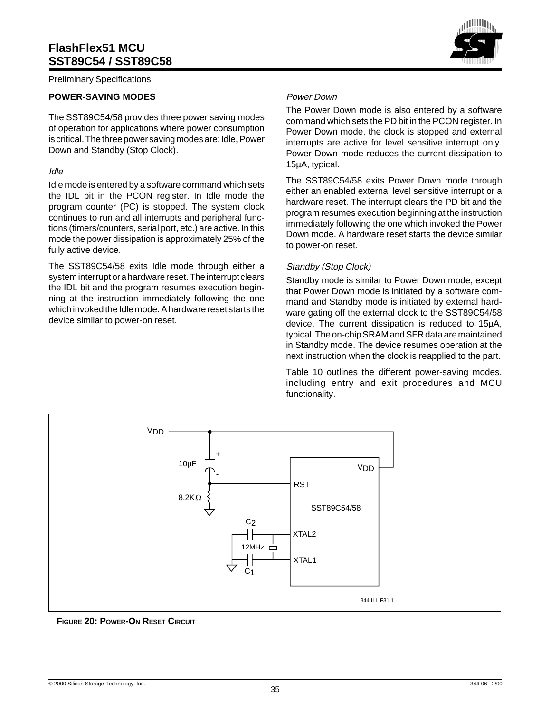Preliminary Specifications

#### **POWER-SAVING MODES**

The SST89C54/58 provides three power saving modes of operation for applications where power consumption is critical. The three power saving modes are: Idle, Power Down and Standby (Stop Clock).

#### Idle

Idle mode is entered by a software command which sets the IDL bit in the PCON register. In Idle mode the program counter (PC) is stopped. The system clock continues to run and all interrupts and peripheral functions (timers/counters, serial port, etc.) are active. In this mode the power dissipation is approximately 25% of the fully active device.

The SST89C54/58 exits Idle mode through either a system interrupt or a hardware reset. The interrupt clears the IDL bit and the program resumes execution beginning at the instruction immediately following the one which invoked the Idle mode. A hardware reset starts the device similar to power-on reset.

#### Power Down

The Power Down mode is also entered by a software command which sets the PD bit in the PCON register. In Power Down mode, the clock is stopped and external interrupts are active for level sensitive interrupt only. Power Down mode reduces the current dissipation to 15µA, typical.

The SST89C54/58 exits Power Down mode through either an enabled external level sensitive interrupt or a hardware reset. The interrupt clears the PD bit and the program resumes execution beginning at the instruction immediately following the one which invoked the Power Down mode. A hardware reset starts the device similar to power-on reset.

#### Standby (Stop Clock)

Standby mode is similar to Power Down mode, except that Power Down mode is initiated by a software command and Standby mode is initiated by external hardware gating off the external clock to the SST89C54/58 device. The current dissipation is reduced to 15µA, typical. The on-chip SRAM and SFR data are maintained in Standby mode. The device resumes operation at the next instruction when the clock is reapplied to the part.

Table 10 outlines the different power-saving modes, including entry and exit procedures and MCU functionality.



**FIGURE 20: POWER-ON RESET CIRCUIT**

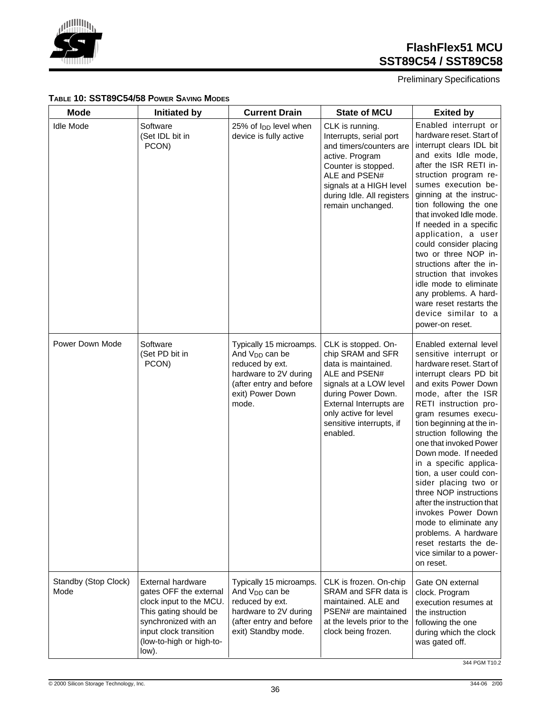

Preliminary Specifications

#### **TABLE 10: SST89C54/58 POWER SAVING MODES**

| <b>Mode</b>                  | <b>Initiated by</b>                                                                                                                                                                           | <b>Current Drain</b>                                                                                                                                      | <b>State of MCU</b>                                                                                                                                                                                                          | <b>Exited by</b>                                                                                                                                                                                                                                                                                                                                                                                                                                                                                                                                                                                |
|------------------------------|-----------------------------------------------------------------------------------------------------------------------------------------------------------------------------------------------|-----------------------------------------------------------------------------------------------------------------------------------------------------------|------------------------------------------------------------------------------------------------------------------------------------------------------------------------------------------------------------------------------|-------------------------------------------------------------------------------------------------------------------------------------------------------------------------------------------------------------------------------------------------------------------------------------------------------------------------------------------------------------------------------------------------------------------------------------------------------------------------------------------------------------------------------------------------------------------------------------------------|
| <b>Idle Mode</b>             | Software<br>(Set IDL bit in<br>PCON)                                                                                                                                                          | 25% of I <sub>DD</sub> level when<br>device is fully active                                                                                               | CLK is running.<br>Interrupts, serial port<br>and timers/counters are<br>active. Program<br>Counter is stopped.<br>ALE and PSEN#<br>signals at a HIGH level<br>during Idle. All registers<br>remain unchanged.               | Enabled interrupt or<br>hardware reset. Start of<br>interrupt clears IDL bit<br>and exits Idle mode,<br>after the ISR RETI in-<br>struction program re-<br>sumes execution be-<br>ginning at the instruc-<br>tion following the one<br>that invoked Idle mode.<br>If needed in a specific<br>application, a user<br>could consider placing<br>two or three NOP in-<br>structions after the in-<br>struction that invokes<br>idle mode to eliminate<br>any problems. A hard-<br>ware reset restarts the<br>device similar to a<br>power-on reset.                                                |
| Power Down Mode              | Software<br>(Set PD bit in<br>PCON)                                                                                                                                                           | Typically 15 microamps.<br>And V <sub>DD</sub> can be<br>reduced by ext.<br>hardware to 2V during<br>(after entry and before<br>exit) Power Down<br>mode. | CLK is stopped. On-<br>chip SRAM and SFR<br>data is maintained.<br>ALE and PSEN#<br>signals at a LOW level<br>during Power Down.<br>External Interrupts are<br>only active for level<br>sensitive interrupts, if<br>enabled. | Enabled external level<br>sensitive interrupt or<br>hardware reset. Start of<br>interrupt clears PD bit<br>and exits Power Down<br>mode, after the ISR<br>RETI instruction pro-<br>gram resumes execu-<br>tion beginning at the in-<br>struction following the<br>one that invoked Power<br>Down mode. If needed<br>in a specific applica-<br>tion, a user could con-<br>sider placing two or<br>three NOP instructions<br>after the instruction that<br>invokes Power Down<br>mode to eliminate any<br>problems. A hardware<br>reset restarts the de-<br>vice similar to a power-<br>on reset. |
| Standby (Stop Clock)<br>Mode | <b>External hardware</b><br>gates OFF the external<br>clock input to the MCU.<br>This gating should be<br>synchronized with an<br>input clock transition<br>(low-to-high or high-to-<br>low). | Typically 15 microamps.<br>And V <sub>DD</sub> can be<br>reduced by ext.<br>hardware to 2V during<br>(after entry and before<br>exit) Standby mode.       | CLK is frozen. On-chip<br>SRAM and SFR data is<br>maintained. ALE and<br>PSEN# are maintained<br>at the levels prior to the<br>clock being frozen.                                                                           | Gate ON external<br>clock. Program<br>execution resumes at<br>the instruction<br>following the one<br>during which the clock<br>was gated off.                                                                                                                                                                                                                                                                                                                                                                                                                                                  |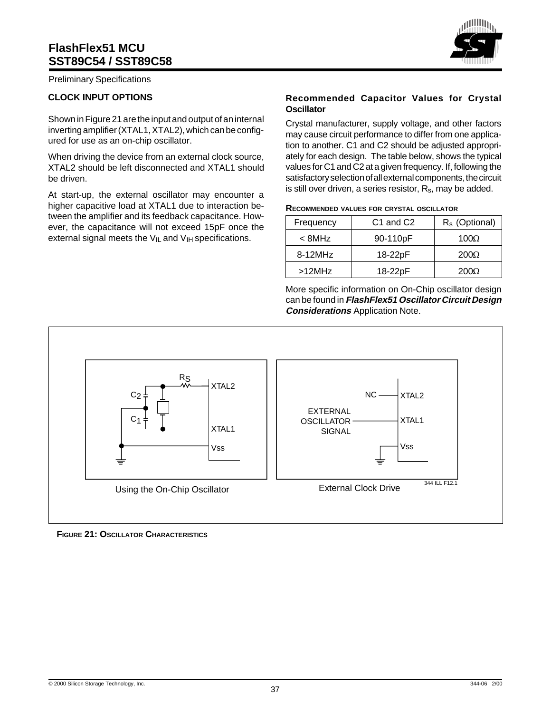Preliminary Specifications

#### **CLOCK INPUT OPTIONS**

Shown in Figure 21 are the input and output of an internal inverting amplifier (XTAL1, XTAL2), which can be configured for use as an on-chip oscillator.

When driving the device from an external clock source, XTAL2 should be left disconnected and XTAL1 should be driven.

At start-up, the external oscillator may encounter a higher capacitive load at XTAL1 due to interaction between the amplifier and its feedback capacitance. However, the capacitance will not exceed 15pF once the external signal meets the  $V_{IL}$  and  $V_{IH}$  specifications.

#### **Recommended Capacitor Values for Crystal Oscillator**

Crystal manufacturer, supply voltage, and other factors may cause circuit performance to differ from one application to another. C1 and C2 should be adjusted appropriately for each design. The table below, shows the typical values for C1 and C2 at a given frequency. If, following the satisfactory selection of all external components, the circuit is still over driven, a series resistor,  $R_s$ , may be added.

| RECOMMENDED VALUES FOR CRYSTAL OSCILLATOR |  |  |  |
|-------------------------------------------|--|--|--|
|-------------------------------------------|--|--|--|

| Frequency  | C <sub>1</sub> and C <sub>2</sub> | $R_s$ (Optional) |
|------------|-----------------------------------|------------------|
| < 8MHz     | 90-110pF                          | 100 $\Omega$     |
| $8-12$ MHz | 18-22pF                           | $200\Omega$      |
| $>12$ MHz  | 18-22pF                           | 200Q             |

More specific information on On-Chip oscillator design can be found in **FlashFlex51 Oscillator Circuit Design Considerations** Application Note.



**FIGURE 21: OSCILLATOR CHARACTERISTICS**

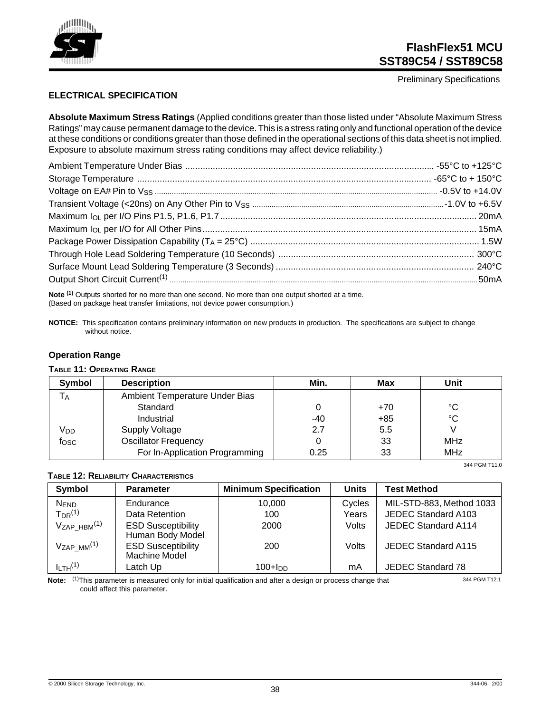

Preliminary Specifications

#### **ELECTRICAL SPECIFICATION**

**Absolute Maximum Stress Ratings** (Applied conditions greater than those listed under "Absolute Maximum Stress Ratings" may cause permanent damage to the device. This is a stress rating only and functional operation of the device at these conditions or conditions greater than those defined in the operational sections of this data sheet is not implied. Exposure to absolute maximum stress rating conditions may affect device reliability.)

**Note (1)** Outputs shorted for no more than one second. No more than one output shorted at a time. (Based on package heat transfer limitations, not device power consumption.)

**NOTICE:** This specification contains preliminary information on new products in production. The specifications are subject to change without notice.

#### **Operation Range**

#### **TABLE 11: OPERATING RANGE**

| Symbol          | <b>Description</b>             | Min.  | Max | Unit       |
|-----------------|--------------------------------|-------|-----|------------|
| l A             | Ambient Temperature Under Bias |       |     |            |
|                 | Standard                       |       | +70 | °C         |
|                 | Industrial                     | $-40$ | +85 | °C         |
| V <sub>DD</sub> | Supply Voltage                 | 2.7   | 5.5 |            |
| fosc            | <b>Oscillator Frequency</b>    |       | 33  | <b>MHz</b> |
|                 | For In-Application Programming | 0.25  | 33  | <b>MHz</b> |

#### **TABLE 12: RELIABILITY CHARACTERISTICS**

| Symbol                         | <b>Parameter</b>                              | <b>Minimum Specification</b> | <b>Units</b> | <b>Test Method</b>         |
|--------------------------------|-----------------------------------------------|------------------------------|--------------|----------------------------|
| <b>NEND</b>                    | Endurance                                     | 10.000                       | Cycles       | MIL-STD-883, Method 1033   |
| $T_{DR}$ <sup>(1)</sup>        | Data Retention                                | 100                          | Years        | JEDEC Standard A103        |
| $V_{ZAP}$ $HBM$ <sup>(1)</sup> | <b>ESD Susceptibility</b><br>Human Body Model | 2000                         | Volts        | JEDEC Standard A114        |
| $V_{ZAP}$ $M^{(1)}$            | <b>ESD Susceptibility</b><br>Machine Model    | 200                          | Volts        | <b>JEDEC Standard A115</b> |
| $I_{LTH}$ <sup>(1)</sup>       | Latch Up                                      | 100+Inn                      | mA           | JEDEC Standard 78          |

**Note:** (1)This parameter is measured only for initial qualification and after a design or process change that could affect this parameter.

344 PGM T12.1

344 PGM T11.0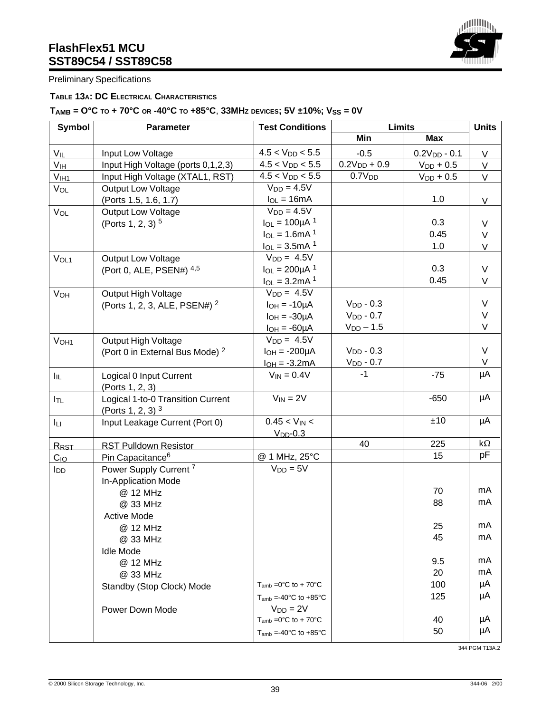

Preliminary Specifications

#### **TABLE 13A: DC ELECTRICAL CHARACTERISTICS**

## $T_{AMB} = O^{\circ}C$  to + 70°C or -40°C to +85°C, 33MHz devices; 5V ±10%;  $V_{SS} = 0V$

| <b>Symbol</b>         | Parameter                                                | <b>Test Conditions</b>                       | <b>Limits</b>      |                | <b>Units</b> |
|-----------------------|----------------------------------------------------------|----------------------------------------------|--------------------|----------------|--------------|
|                       |                                                          |                                              | Min                | <b>Max</b>     |              |
| $V_{IL}$              | Input Low Voltage                                        | $4.5 < V_{DD} < 5.5$                         | $-0.5$             | $0.2VDD - 0.1$ | V            |
| V <sub>IH</sub>       | Input High Voltage (ports 0,1,2,3)                       | $4.5 < V_{DD} < 5.5$                         | $0.2V_{DD} + 0.9$  | $V_{DD}$ + 0.5 | V            |
| V <sub>IH1</sub>      | Input High Voltage (XTAL1, RST)                          | $4.5 < V_{DD} < 5.5$                         | 0.7V <sub>DD</sub> | $V_{DD}$ + 0.5 | $\vee$       |
| VOL                   | <b>Output Low Voltage</b>                                | $V_{DD} = 4.5V$                              |                    |                |              |
|                       | (Ports 1.5, 1.6, 1.7)                                    | $I_{OL} = 16mA$                              |                    | 1.0            | V            |
| VOL                   | <b>Output Low Voltage</b>                                | $V_{DD} = 4.5V$                              |                    |                |              |
|                       | (Ports 1, 2, 3) <sup>5</sup>                             | $I_{OL} = 100 \mu A^{-1}$                    |                    | 0.3            | $\vee$       |
|                       |                                                          | $I_{OL} = 1.6mA^{1}$                         |                    | 0.45           | $\vee$       |
|                       |                                                          | $I_{OL} = 3.5mA$ <sup>1</sup>                |                    | 1.0            | $\mathsf{V}$ |
| VOL <sub>1</sub>      | <b>Output Low Voltage</b>                                | $V_{DD} = 4.5V$                              |                    |                |              |
|                       | (Port 0, ALE, PSEN#) 4,5                                 | $I_{OL} = 200 \mu A^{-1}$                    |                    | 0.3            | $\vee$       |
|                       |                                                          | $I_{OL} = 3.2mA^{1}$                         |                    | 0.45           | $\vee$       |
| <b>V<sub>OH</sub></b> | Output High Voltage                                      | $VDD = 4.5V$                                 |                    |                |              |
|                       | (Ports 1, 2, 3, ALE, PSEN#) <sup>2</sup>                 | $I_{OH} = -10\mu A$                          | $V_{DD} - 0.3$     |                | $\vee$       |
|                       |                                                          | $I_{OH} = -30\mu A$                          | $VDD - 0.7$        |                | $\vee$       |
|                       |                                                          | $I_{OH} = -60 \mu A$                         | $V_{DD} - 1.5$     |                | $\vee$       |
| V <sub>OH1</sub>      | Output High Voltage                                      | $V_{DD} = 4.5V$                              |                    |                |              |
|                       | (Port 0 in External Bus Mode) <sup>2</sup>               | $I_{OH} = -200 \mu A$                        | $VDD - 0.3$        |                | $\vee$       |
|                       |                                                          | $I_{OH} = -3.2mA$                            | $V_{DD} - 0.7$     |                | V            |
| $I_{\rm IL}$          | Logical 0 Input Current<br>(Ports 1, 2, 3)               | $V_{IN} = 0.4V$                              | $-1$               | $-75$          | μA           |
| $I_{TL}$              | Logical 1-to-0 Transition Current<br>(Ports 1, 2, 3) $3$ | $V_{IN} = 2V$                                |                    | $-650$         | μA           |
| Iц                    | Input Leakage Current (Port 0)                           | $0.45 < V_{IN} <$<br>$VDD - 0.3$             |                    | ±10            | μA           |
|                       | <b>RST Pulldown Resistor</b>                             |                                              | 40                 | 225            | $k\Omega$    |
| RRST                  | Pin Capacitance <sup>6</sup>                             | @ 1 MHz, 25°C                                |                    | 15             | рF           |
| $C_{IO}$              | Power Supply Current <sup>7</sup>                        | $V_{DD} = 5V$                                |                    |                |              |
| <b>I</b> DD           | In-Application Mode                                      |                                              |                    |                |              |
|                       | @ 12 MHz                                                 |                                              |                    | 70             | mA           |
|                       | @ 33 MHz                                                 |                                              |                    | 88             | mA           |
|                       | <b>Active Mode</b>                                       |                                              |                    |                |              |
|                       |                                                          |                                              |                    | 25             | mA           |
|                       | @ 12 MHz                                                 |                                              |                    | 45             | mA           |
|                       | @ 33 MHz                                                 |                                              |                    |                |              |
|                       | <b>Idle Mode</b>                                         |                                              |                    | 9.5            | mA           |
|                       | @ 12 MHz                                                 |                                              |                    | 20             | mA           |
|                       | @ 33 MHz                                                 | $T_{amb} = 0$ °C to + 70°C                   |                    | 100            | μA           |
|                       | Standby (Stop Clock) Mode                                |                                              |                    | 125            | μA           |
|                       |                                                          | $T_{amb}$ =-40°C to +85°C                    |                    |                |              |
|                       | Power Down Mode                                          | $V_{DD} = 2V$<br>$T_{amb} = 0$ °C to + 70°C  |                    |                | μA           |
|                       |                                                          |                                              |                    | 40             |              |
|                       |                                                          | $T_{amb} = -40^{\circ}$ C to $+85^{\circ}$ C |                    | 50             | μΑ           |

344 PGM T13A.2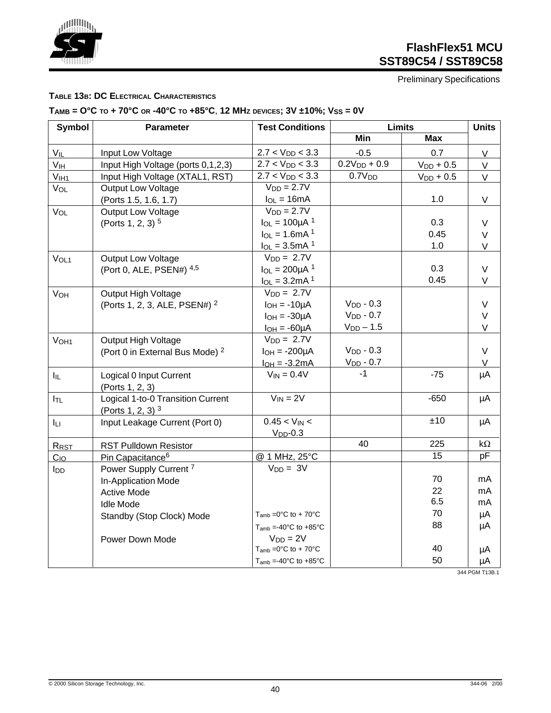

Preliminary Specifications

#### **TABLE 13B: DC ELECTRICAL CHARACTERISTICS**

## $T_{AMB} = O^{\circ}C$  to  $+ 70^{\circ}C$  or  $-40^{\circ}C$  to  $+85^{\circ}C$ , 12 MHz devices;  $3V \pm 10\%$ ;  $V_{SS} = 0V$

| <b>Symbol</b>    | Parameter                                  | <b>Test Conditions</b>                       | <b>Limits</b>      |                | <b>Units</b> |
|------------------|--------------------------------------------|----------------------------------------------|--------------------|----------------|--------------|
|                  |                                            |                                              | <b>Min</b>         | <b>Max</b>     |              |
| $V_{IL}$         | Input Low Voltage                          | $2.7 < V_{DD} < 3.3$                         | $-0.5$             | 0.7            | V            |
| V <sub>IH</sub>  | Input High Voltage (ports 0,1,2,3)         | $2.7 < V_{DD} < 3.3$                         | $0.2V_{DD} + 0.9$  | $V_{DD}$ + 0.5 | $\vee$       |
| V <sub>IH1</sub> | Input High Voltage (XTAL1, RST)            | $2.7 < V_{DD} < 3.3$                         | 0.7V <sub>DD</sub> | $V_{DD}$ + 0.5 | $\vee$       |
| $V_{OL}$         | <b>Output Low Voltage</b>                  | $VDD = 2.7V$                                 |                    |                |              |
|                  | (Ports 1.5, 1.6, 1.7)                      | $I_{OL} = 16mA$                              |                    | 1.0            | V            |
| VOL              | <b>Output Low Voltage</b>                  | $VDD = 2.7V$                                 |                    |                |              |
|                  | (Ports 1, 2, 3) <sup>5</sup>               | $I_{OL} = 100 \mu A$ <sup>1</sup>            |                    | 0.3            | $\vee$       |
|                  |                                            | $I_{OL} = 1.6mA$ <sup>1</sup>                |                    | 0.45           | $\vee$       |
|                  |                                            | $I_{OL} = 3.5mA$ <sup>1</sup>                |                    | 1.0            | V            |
| V <sub>OL1</sub> | <b>Output Low Voltage</b>                  | $V_{DD} = 2.7V$                              |                    |                |              |
|                  | (Port 0, ALE, PSEN#) 4,5                   | $I_{OL} = 200 \mu A^{-1}$                    |                    | 0.3            | $\vee$       |
|                  |                                            | $I_{OL} = 3.2mA$ <sup>1</sup>                |                    | 0.45           | V            |
| VOH              | Output High Voltage                        | $V_{DD} = 2.7V$                              |                    |                |              |
|                  | (Ports 1, 2, 3, ALE, PSEN#) <sup>2</sup>   | $I_{OH} = -10\mu A$                          | $V_{DD} - 0.3$     |                | $\vee$       |
|                  |                                            | $I_{OH} = -30\mu A$                          | $V_{DD} - 0.7$     |                | $\mathsf V$  |
|                  |                                            | $I_{OH} = -60 \mu A$                         | $V_{DD}$ - 1.5     |                | $\vee$       |
| V <sub>OH1</sub> | Output High Voltage                        | $V_{DD} = 2.7V$                              |                    |                |              |
|                  | (Port 0 in External Bus Mode) <sup>2</sup> | $I_{OH} = -200\mu A$                         | $V_{DD} - 0.3$     |                | $\vee$       |
|                  |                                            | $I_{OH} = -3.2mA$                            | $V_{DD} - 0.7$     |                | V            |
| $I_{IL}$         | Logical 0 Input Current<br>(Ports 1, 2, 3) | $V_{IN} = 0.4V$                              | $-1$               | $-75$          | μA           |
| $I_{TL}$         | Logical 1-to-0 Transition Current          | $V_{IN} = 2V$                                |                    | $-650$         | μA           |
|                  | (Ports 1, 2, 3) $3$                        |                                              |                    |                |              |
| Iц               | Input Leakage Current (Port 0)             | $0.45 < V_{IN} <$                            |                    | ±10            | μA           |
|                  |                                            | $VDD - 0.3$                                  |                    |                |              |
| RRST             | <b>RST Pulldown Resistor</b>               |                                              | 40                 | 225            | $k\Omega$    |
| $C_{10}$         | Pin Capacitance <sup>6</sup>               | @ 1 MHz, 25°C                                |                    | 15             | pF           |
| l <sub>DD</sub>  | Power Supply Current <sup>7</sup>          | $V_{DD} = 3V$                                |                    |                |              |
|                  | In-Application Mode                        |                                              |                    | 70             | mA           |
|                  | <b>Active Mode</b>                         |                                              |                    | 22             | mA           |
|                  | <b>Idle Mode</b>                           |                                              |                    | 6.5            | mA           |
|                  | Standby (Stop Clock) Mode                  | $T_{amb} = 0$ °C to + 70°C                   |                    | 70             | μA           |
|                  |                                            | $T_{amb} = -40^{\circ}$ C to $+85^{\circ}$ C |                    | 88             | μA           |
|                  | Power Down Mode                            | $V_{DD} = 2V$                                |                    |                |              |
|                  |                                            | $T_{amb} = 0$ °C to + 70°C                   |                    | 40             | μA           |
|                  |                                            | $T_{amb} = -40^{\circ}$ C to $+85^{\circ}$ C |                    | 50             | μA           |

344 PGM T13B.1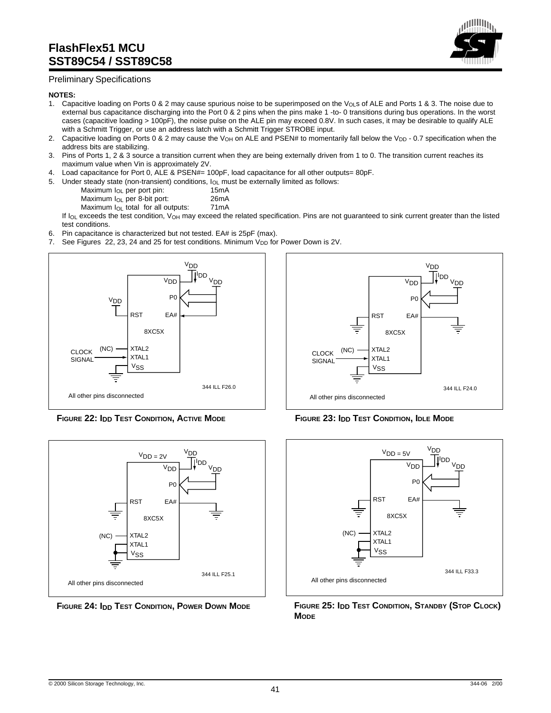

#### Preliminary Specifications

#### **NOTES:**

- 1. Capacitive loading on Ports 0 & 2 may cause spurious noise to be superimposed on the V<sub>OL</sub>s of ALE and Ports 1 & 3. The noise due to external bus capacitance discharging into the Port 0 & 2 pins when the pins make 1 -to- 0 transitions during bus operations. In the worst cases (capacitive loading > 100pF), the noise pulse on the ALE pin may exceed 0.8V. In such cases, it may be desirable to qualify ALE with a Schmitt Trigger, or use an address latch with a Schmitt Trigger STROBE input.
- 2. Capacitive loading on Ports 0 & 2 may cause the V<sub>OH</sub> on ALE and PSEN# to momentarily fall below the V<sub>DD</sub> 0.7 specification when the address bits are stabilizing.
- 3. Pins of Ports 1, 2 & 3 source a transition current when they are being externally driven from 1 to 0. The transition current reaches its maximum value when Vin is approximately 2V.
- 4. Load capacitance for Port 0, ALE & PSEN#= 100pF, load capacitance for all other outputs= 80pF.
- 5. Under steady state (non-transient) conditions,  $I_{OL}$  must be externally limited as follows:<br>Maximum  $I_{OL}$  per port pin: 15mA

Maximum  $I_{OL}$  per port pin:

- 
- Maximum I<sub>OL</sub> per 8-bit port: 26mA<br>Maximum I<sub>OL</sub> total for all outputs: 71mA Maximum  $I_{OL}$  total for all outputs:

If  $I_{OL}$  exceeds the test condition,  $V_{OH}$  may exceed the related specification. Pins are not guaranteed to sink current greater than the listed test conditions.

- 6. Pin capacitance is characterized but not tested. EA# is 25pF (max).
- 7. See Figures 22, 23, 24 and 25 for test conditions. Minimum  $V_{DD}$  for Power Down is 2V.



**FIGURE 22: IDD TEST CONDITION, ACTIVE MODE FIGURE 23: IDD TEST CONDITION, IDLE MODE**







**FIGURE 24: IDD TEST CONDITION, POWER DOWN MODE FIGURE 25: IDD TEST CONDITION, STANDBY (STOP CLOCK) MODE**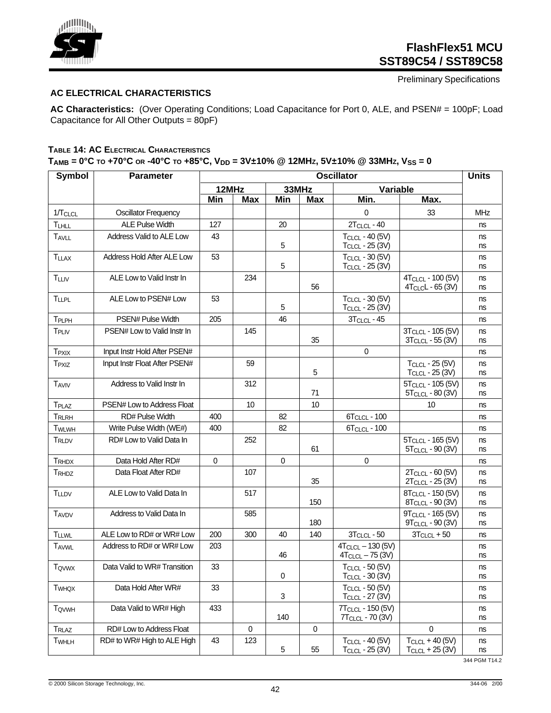

Preliminary Specifications

#### **AC ELECTRICAL CHARACTERISTICS**

**AC Characteristics:** (Over Operating Conditions; Load Capacitance for Port 0, ALE, and PSEN# = 100pF; Load Capacitance for All Other Outputs = 80pF)

### **TABLE 14: AC ELECTRICAL CHARACTERISTICS**

| T <sub>AMB</sub> = 0°C to +70°C or -40°C to +85°C, V <sub>DD</sub> = 3V±10%    @ 12MHz, 5V±10%    @ 33MHz, V <sub>SS</sub> = 0 |  |  |  |
|--------------------------------------------------------------------------------------------------------------------------------|--|--|--|
|                                                                                                                                |  |  |  |

| <b>Symbol</b>            | <b>Parameter</b>              | <b>Oscillator</b> |            |                           |            |                                                               |                                                                | <b>Units</b> |
|--------------------------|-------------------------------|-------------------|------------|---------------------------|------------|---------------------------------------------------------------|----------------------------------------------------------------|--------------|
|                          |                               | 12MHz             |            | 33MHz                     |            |                                                               | Variable                                                       |              |
|                          |                               | <b>Min</b>        | <b>Max</b> | Min                       | <b>Max</b> | Min.                                                          | Max.                                                           |              |
| 1/TCLCL                  | <b>Oscillator Frequency</b>   |                   |            |                           |            | 0                                                             | 33                                                             | <b>MHz</b>   |
| TLHLL                    | <b>ALE Pulse Width</b>        | 127               |            | 20                        |            | $2TCLCL - 40$                                                 |                                                                | ns           |
| <b>TAVLL</b>             | Address Valid to ALE Low      | 43                |            | 5                         |            | <b>TCLCL - 40 (5V)</b><br>$T_{CLCL}$ - 25 (3V)                |                                                                | ns<br>ns     |
| <b>TLLAX</b>             | Address Hold After ALE Low    | 53                |            | 5                         |            | TCLCL - 30 (5V)<br>TCLCL - 25 (3V)                            |                                                                | ns<br>ns     |
| <b>TLLIV</b>             | ALE Low to Valid Instr In     |                   | 234        |                           | 56         |                                                               | 4T <sub>CLCL</sub> - 100 (5V)<br>4T <sub>CLC</sub> L - 65 (3V) | ns<br>ns     |
| <b>TLLPL</b>             | ALE Low to PSEN# Low          | 53                |            | 5                         |            | TCLCL - 30 (5V)<br>$T_{CLCL}$ - 25 (3V)                       |                                                                | ns<br>ns     |
| TPLPH                    | PSEN# Pulse Width             | 205               |            | 46                        |            | $3TCLCL - 45$                                                 |                                                                | ns           |
| TPLIV                    | PSEN# Low to Valid Instr In   |                   | 145        |                           | 35         |                                                               | 3T <sub>CLCL</sub> - 105 (5V)<br>3T <sub>CLCL</sub> - 55 (3V)  | ns<br>ns     |
| <b>T</b> <sub>PXIX</sub> | Input Instr Hold After PSEN#  |                   |            |                           |            | 0                                                             |                                                                | ns           |
| <b>T</b> <sub>PXIZ</sub> | Input Instr Float After PSEN# |                   | 59         |                           | 5          |                                                               | TCLCL - 25 (5V)<br>T <sub>CLCL</sub> - 25 (3V)                 | ns<br>ns     |
| <b>TAVIV</b>             | Address to Valid Instr In     |                   | 312        |                           | 71         |                                                               | 5T <sub>CLCL</sub> - 105 (5V)<br>5T <sub>CLCL</sub> - 80 (3V)  | ns<br>ns     |
| T <sub>PLAZ</sub>        | PSEN# Low to Address Float    |                   | 10         |                           | 10         |                                                               | 10                                                             | ns           |
| TRLRH                    | <b>RD# Pulse Width</b>        | 400               |            | 82                        |            | 6T <sub>CLCL</sub> - 100                                      |                                                                | ns           |
| <b>TWLWH</b>             | Write Pulse Width (WE#)       | 400               |            | 82                        |            | <b>6TCLCL - 100</b>                                           |                                                                | ns           |
| T <sub>RLDV</sub>        | RD# Low to Valid Data In      |                   | 252        |                           | 61         |                                                               | 5T <sub>CLCL</sub> - 165 (5V)<br>5T <sub>CLCL</sub> - 90 (3V)  | ns<br>ns     |
| TRHDX                    | Data Hold After RD#           | $\mathbf 0$       |            | $\mathbf 0$               |            | $\mathbf 0$                                                   |                                                                | ns           |
| T <sub>RHDZ</sub>        | Data Float After RD#          |                   | 107        |                           | 35         |                                                               | 2T <sub>CLCL</sub> - 60 (5V)<br>2T <sub>CLCL</sub> - 25 (3V)   | ns<br>ns     |
| <b>TLLDV</b>             | ALE Low to Valid Data In      |                   | 517        |                           | 150        |                                                               | 8TCLCL - 150 (5V)<br>8T <sub>CLCL</sub> - 90 (3V)              | ns<br>ns     |
| <b>TAVDV</b>             | Address to Valid Data In      |                   | 585        |                           | 180        |                                                               | 9T <sub>CLCL</sub> - 165 (5V)<br>9TCLCL - 90 (3V)              | ns<br>ns     |
| <b>TLLWL</b>             | ALE Low to RD# or WR# Low     | 200               | 300        | 40                        | 140        | $3T_{CLCL} - 50$                                              | $3T_{CLCL} + 50$                                               | ns           |
| <b>TAVWL</b>             | Address to RD# or WR# Low     | 203               |            | 46                        |            | $4T_{CLCL} - 130(5V)$<br>$4TCLCL - 75$ (3V)                   |                                                                | ns<br>ns     |
| <b>T</b> <sub>ovwx</sub> | Data Valid to WR# Transition  | 33                |            | 0                         |            | $T_{CLCL}$ - 50 (5V)<br>T <sub>CLCL</sub> - 30 (3V)           |                                                                | ns<br>ns     |
| <b>T</b> <sub>WHQX</sub> | Data Hold After WR#           | 33                |            | $\ensuremath{\mathsf{3}}$ |            | TCLCL - 50 (5V)<br>$T_{CLCL}$ - 27 (3V)                       |                                                                | ns<br>ns     |
| <b>TOVWH</b>             | Data Valid to WR# High        | 433               |            | 140                       |            | 7T <sub>CLCL</sub> - 150 (5V)<br>7T <sub>CLCL</sub> - 70 (3V) |                                                                | ns<br>ns     |
| <b>TRLAZ</b>             | RD# Low to Address Float      |                   | $\pmb{0}$  |                           | 0          |                                                               | $\pmb{0}$                                                      | ns           |
| <b>TWHLH</b>             | RD# to WR# High to ALE High   | 43                | 123        | 5                         | 55         | TCLCL - 40 (5V)<br>TCLCL - 25 (3V)                            | $TCLCL + 40 (5V)$<br>$TCLCL + 25 (3V)$                         | ns<br>ns     |

344 PGM T14.2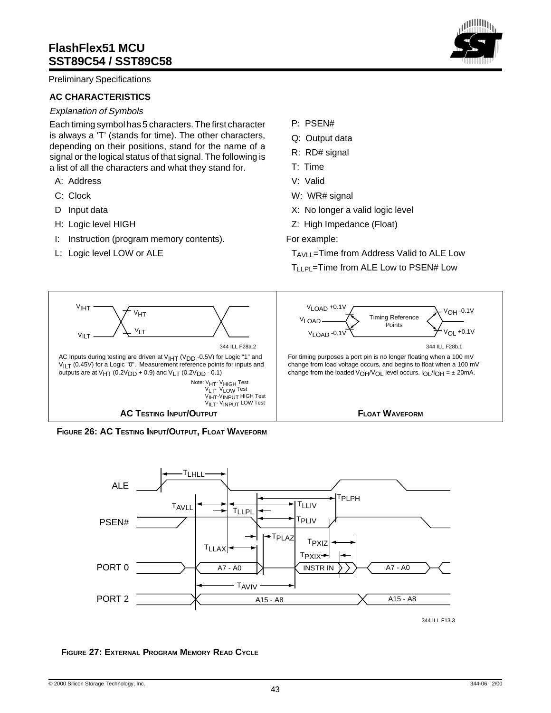Preliminary Specifications

#### **AC CHARACTERISTICS**

#### Explanation of Symbols

Each timing symbol has 5 characters. The first character is always a 'T' (stands for time). The other characters, depending on their positions, stand for the name of a signal or the logical status of that signal. The following is a list of all the characters and what they stand for.

- A: Address
- C: Clock
- D Input data
- H: Logic level HIGH
- I: Instruction (program memory contents).
- L: Logic level LOW or ALE
- P: PSEN#
- Q: Output data
- R: RD# signal
- T: Time
- V: Valid
- W: WR# signal
- X: No longer a valid logic level
- Z: High Impedance (Float)
- For example:

TAVLL=Time from Address Valid to ALE Low TLLPL=Time from ALE Low to PSEN# Low









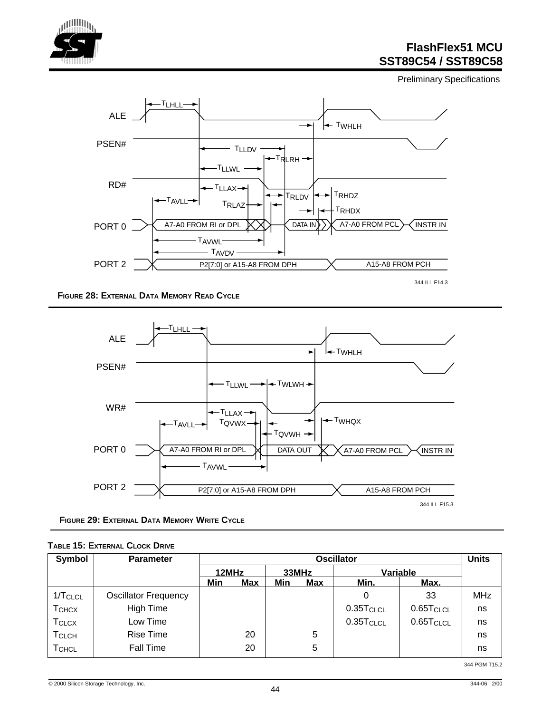

Preliminary Specifications



**FIGURE 28: EXTERNAL DATA MEMORY READ CYCLE**



**FIGURE 29: EXTERNAL DATA MEMORY WRITE CYCLE**

| <b>TABLE 15: EXTERNAL CLOCK DRIVE</b> |  |
|---------------------------------------|--|
|                                       |  |

| <b>Symbol</b>     | <b>Parameter</b>            | <b>Oscillator</b> |            |       |            |                       |                       | <b>Units</b> |
|-------------------|-----------------------------|-------------------|------------|-------|------------|-----------------------|-----------------------|--------------|
|                   |                             | 12MHz             |            | 33MHz |            |                       | Variable              |              |
|                   |                             | Min               | <b>Max</b> | Min   | <b>Max</b> | Min.                  | Max.                  |              |
| $1/T$ CLCL        | <b>Oscillator Frequency</b> |                   |            |       |            | 0                     | 33                    | <b>MHz</b>   |
| <b>T</b> CHCX     | High Time                   |                   |            |       |            | $0.35T_{CLCL}$        | 0.65T <sub>CLCL</sub> | ns           |
| <b>T</b> CLCX     | Low Time                    |                   |            |       |            | 0.35T <sub>CLCL</sub> | 0.65T <sub>CLCL</sub> | ns           |
| T <sub>CLCH</sub> | <b>Rise Time</b>            |                   | 20         |       | 5          |                       |                       | ns           |
| TCHCL             | Fall Time                   |                   | 20         |       | 5          |                       |                       | ns           |

344 PGM T15.2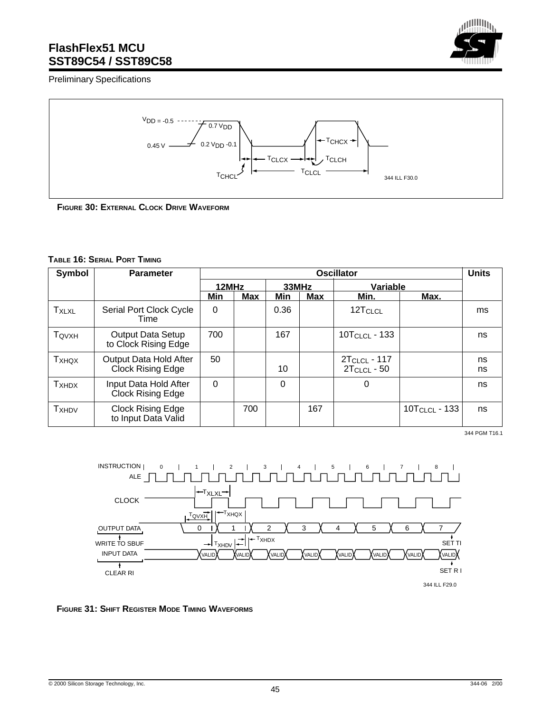Preliminary Specifications





**FIGURE 30: EXTERNAL CLOCK DRIVE WAVEFORM**

#### **TABLE 16: SERIAL PORT TIMING**

| Symbol                   | <b>Parameter</b>                                   | <b>Oscillator</b> |            |      |                   |                                       |                    |          |
|--------------------------|----------------------------------------------------|-------------------|------------|------|-------------------|---------------------------------------|--------------------|----------|
|                          |                                                    | 12MHz             |            |      | 33MHz<br>Variable |                                       |                    |          |
|                          |                                                    | Min               | <b>Max</b> | Min  | <b>Max</b>        | Min.                                  | Max.               |          |
| <b>TXLXL</b>             | Serial Port Clock Cycle<br>Time                    | 0                 |            | 0.36 |                   | 12T <sub>CLCL</sub>                   |                    | ms       |
| TQVXH                    | <b>Output Data Setup</b><br>to Clock Rising Edge   | 700               |            | 167  |                   | $10T_{CLCL}$ - 133                    |                    | ns       |
| <b>T</b> <sub>XHQX</sub> | Output Data Hold After<br><b>Clock Rising Edge</b> | 50                |            | 10   |                   | $2T_{CLCL} - 117$<br>$2T_{CLCL} - 50$ |                    | ns<br>ns |
| <b>T</b> XHDX            | Input Data Hold After<br>Clock Rising Edge         | $\Omega$          |            | 0    |                   | 0                                     |                    | ns       |
| <b>T</b> <sub>XHDV</sub> | Clock Rising Edge<br>to Input Data Valid           |                   | 700        |      | 167               |                                       | $10T_{CLCL} - 133$ | ns       |

344 PGM T16.1



#### **FIGURE 31: SHIFT REGISTER MODE TIMING WAVEFORMS**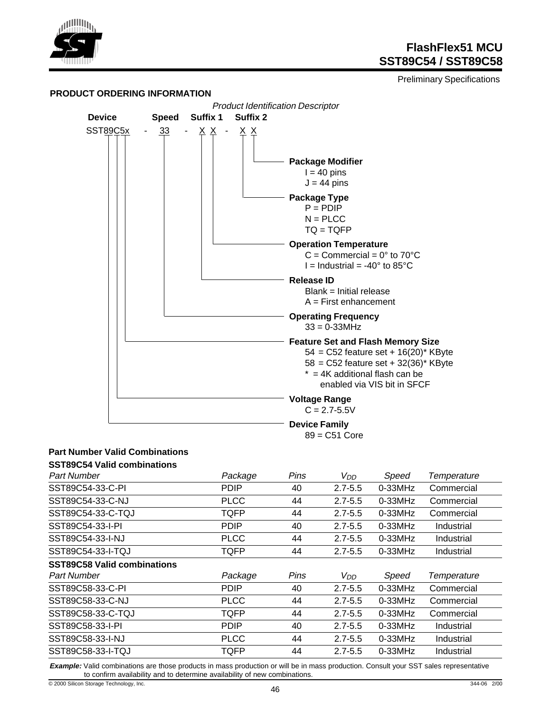

Preliminary Specifications



## **Part Number Valid Combinations**

| <b>SST89C54 Valid combinations</b> |             |      |                 |            |                    |
|------------------------------------|-------------|------|-----------------|------------|--------------------|
| <b>Part Number</b>                 | Package     | Pins | V <sub>DD</sub> | Speed      | <b>Temperature</b> |
| SST89C54-33-C-PI                   | <b>PDIP</b> | 40   | $2.7 - 5.5$     | $0-33$ MHz | Commercial         |
| SST89C54-33-C-NJ                   | <b>PLCC</b> | 44   | $2.7 - 5.5$     | $0-33$ MHz | Commercial         |
| SST89C54-33-C-TQJ                  | TQFP        | 44   | $2.7 - 5.5$     | $0-33$ MHz | Commercial         |
| SST89C54-33-I-PI                   | <b>PDIP</b> | 40   | $2.7 - 5.5$     | $0-33$ MHz | Industrial         |
| SST89C54-33-I-NJ                   | <b>PLCC</b> | 44   | $2.7 - 5.5$     | $0-33$ MHz | Industrial         |
| SST89C54-33-I-TQJ                  | TQFP        | 44   | $2.7 - 5.5$     | $0-33$ MHz | Industrial         |
| <b>SST89C58 Valid combinations</b> |             |      |                 |            |                    |
| <b>Part Number</b>                 | Package     | Pins | V <sub>DD</sub> | Speed      | Temperature        |
| SST89C58-33-C-PI                   |             |      |                 |            |                    |
|                                    | <b>PDIP</b> | 40   | $2.7 - 5.5$     | $0-33$ MHz | Commercial         |
| SST89C58-33-C-NJ                   | <b>PLCC</b> | 44   | $2.7 - 5.5$     | $0-33$ MHz | Commercial         |
| SST89C58-33-C-TQJ                  | TQFP        | 44   | $2.7 - 5.5$     | $0-33$ MHz | Commercial         |
| SST89C58-33-I-PI                   | <b>PDIP</b> | 40   | $2.7 - 5.5$     | $0-33$ MHz | Industrial         |
| SST89C58-33-I-NJ                   | <b>PLCC</b> | 44   | $2.7 - 5.5$     | $0-33$ MHz | Industrial         |

**Example:** Valid combinations are those products in mass production or will be in mass production. Consult your SST sales representative to confirm availability and to determine availability of new combinations.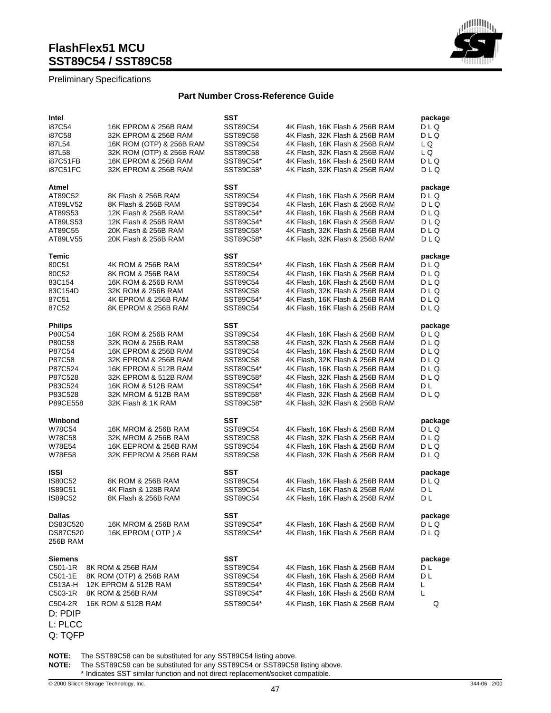#### Preliminary Specifications

#### **Part Number Cross-Reference Guide**

| Intel                |                                           | SST                    |                                                                  | package        |
|----------------------|-------------------------------------------|------------------------|------------------------------------------------------------------|----------------|
| i87C54               | 16K EPROM & 256B RAM                      | SST89C54               | 4K Flash, 16K Flash & 256B RAM                                   | DLQ            |
| i87C58               | 32K EPROM & 256B RAM                      | SST89C58               | 4K Flash, 32K Flash & 256B RAM                                   | DLQ            |
| i87L54               | 16K ROM (OTP) & 256B RAM                  | SST89C54               | 4K Flash, 16K Flash & 256B RAM                                   | L Q            |
| i87L58               | 32K ROM (OTP) & 256B RAM                  | SST89C58               | 4K Flash, 32K Flash & 256B RAM                                   | L Q            |
| i87C51FB             | 16K EPROM & 256B RAM                      | SST89C54*              | 4K Flash, 16K Flash & 256B RAM                                   | DLQ            |
| i87C51FC             | 32K EPROM & 256B RAM                      | SST89C58*              | 4K Flash, 32K Flash & 256B RAM                                   | DLQ            |
| Atmel                |                                           | SST                    |                                                                  | package        |
| AT89C52              | 8K Flash & 256B RAM                       | SST89C54               | 4K Flash, 16K Flash & 256B RAM                                   | DLQ            |
| AT89LV52             | 8K Flash & 256B RAM                       | SST89C54               | 4K Flash, 16K Flash & 256B RAM                                   | DLQ            |
| AT89S53              | 12K Flash & 256B RAM                      | SST89C54*              | 4K Flash, 16K Flash & 256B RAM                                   | DLQ            |
| AT89LS53             | 12K Flash & 256B RAM                      | SST89C54*              | 4K Flash, 16K Flash & 256B RAM                                   | DLQ            |
| AT89C55              | 20K Flash & 256B RAM                      | SST89C58*              | 4K Flash, 32K Flash & 256B RAM                                   | DLQ            |
| AT89LV55             |                                           | SST89C58*              |                                                                  |                |
|                      | 20K Flash & 256B RAM                      |                        | 4K Flash, 32K Flash & 256B RAM                                   | DLQ            |
| Temic                |                                           | SST                    |                                                                  | package        |
| 80C51                | 4K ROM & 256B RAM                         | SST89C54*              | 4K Flash, 16K Flash & 256B RAM                                   | DLQ            |
| 80C52                | 8K ROM & 256B RAM                         | SST89C54               | 4K Flash, 16K Flash & 256B RAM                                   | DLQ            |
| 83C154               | 16K ROM & 256B RAM                        | SST89C54               | 4K Flash, 16K Flash & 256B RAM                                   | DLQ            |
| 83C154D              | 32K ROM & 256B RAM                        | SST89C58               | 4K Flash, 32K Flash & 256B RAM                                   | DLQ            |
| 87C51                | 4K EPROM & 256B RAM                       | SST89C54*              | 4K Flash, 16K Flash & 256B RAM                                   | DLQ            |
| 87C52                | 8K EPROM & 256B RAM                       | SST89C54               | 4K Flash, 16K Flash & 256B RAM                                   | DLQ            |
| <b>Philips</b>       |                                           | SST                    |                                                                  | package        |
| P80C54               | 16K ROM & 256B RAM                        | SST89C54               | 4K Flash, 16K Flash & 256B RAM                                   | DLQ            |
| P80C58               | 32K ROM & 256B RAM                        | SST89C58               | 4K Flash, 32K Flash & 256B RAM                                   | DLQ            |
| P87C54               | 16K EPROM & 256B RAM                      | SST89C54               | 4K Flash, 16K Flash & 256B RAM                                   | DLQ            |
| P87C58               | 32K EPROM & 256B RAM                      | SST89C58               | 4K Flash, 32K Flash & 256B RAM                                   | DLQ            |
| P87C524              | 16K EPROM & 512B RAM                      | SST89C54*              | 4K Flash, 16K Flash & 256B RAM                                   | DLQ            |
| P87C528              | 32K EPROM & 512B RAM                      | SST89C58*              | 4K Flash, 32K Flash & 256B RAM                                   | DLQ            |
|                      |                                           |                        |                                                                  |                |
| P83C524              | 16K ROM & 512B RAM                        | SST89C54*              | 4K Flash, 16K Flash & 256B RAM                                   | DL             |
| P83C528<br>P89CE558  | 32K MROM & 512B RAM<br>32K Flash & 1K RAM | SST89C58*<br>SST89C58* | 4K Flash, 32K Flash & 256B RAM<br>4K Flash, 32K Flash & 256B RAM | DLQ            |
|                      |                                           |                        |                                                                  |                |
| Winbond              |                                           | SST                    |                                                                  | package        |
| W78C54               | 16K MROM & 256B RAM                       | SST89C54               | 4K Flash, 16K Flash & 256B RAM                                   | DLQ            |
| W78C58               | 32K MROM & 256B RAM                       | SST89C58               | 4K Flash, 32K Flash & 256B RAM                                   | DLQ            |
| W78E54               | 16K EEPROM & 256B RAM                     | SST89C54               | 4K Flash, 16K Flash & 256B RAM                                   | DLQ            |
| W78E58               | 32K EEPROM & 256B RAM                     | SST89C58               | 4K Flash, 32K Flash & 256B RAM                                   | DLQ            |
| <b>ISSI</b>          |                                           | SST                    |                                                                  | package        |
| <b>IS80C52</b>       | 8K ROM & 256B RAM                         | SST89C54               | 4K Flash, 16K Flash & 256B RAM                                   | DLQ            |
| <b>IS89C51</b>       | 4K Flash & 128B RAM                       | SST89C54               | 4K Flash, 16K Flash & 256B RAM                                   | DL             |
| <b>IS89C52</b>       | 8K Flash & 256B RAM                       | SST89C54               | 4K Flash, 16K Flash & 256B RAM                                   | DL             |
| <b>Dallas</b>        |                                           | <b>SST</b>             |                                                                  |                |
| DS83C520             | 16K MROM & 256B RAM                       |                        | 4K Flash, 16K Flash & 256B RAM                                   | раскаде<br>DLQ |
|                      |                                           | SST89C54*              |                                                                  |                |
| DS87C520<br>256B RAM | 16K EPROM (OTP) &                         | SST89C54*              | 4K Flash, 16K Flash & 256B RAM                                   | DLQ            |
|                      |                                           |                        |                                                                  |                |
| <b>Siemens</b>       |                                           | SST                    |                                                                  | package        |
| C501-1R              | 8K ROM & 256B RAM                         | SST89C54               | 4K Flash, 16K Flash & 256B RAM                                   | DL             |
| C501-1E              | 8K ROM (OTP) & 256B RAM                   | SST89C54               | 4K Flash, 16K Flash & 256B RAM                                   | DL             |
| C513A-H              | 12K EPROM & 512B RAM                      | SST89C54*              | 4K Flash, 16K Flash & 256B RAM                                   | L              |
| C503-1R              | 8K ROM & 256B RAM                         | SST89C54*              | 4K Flash, 16K Flash & 256B RAM                                   | L              |
| C504-2R              | 16K ROM & 512B RAM                        | SST89C54*              | 4K Flash, 16K Flash & 256B RAM                                   | Q              |
| D: PDIP              |                                           |                        |                                                                  |                |
| L: PLCC              |                                           |                        |                                                                  |                |
|                      |                                           |                        |                                                                  |                |

Q: TQFP

**NOTE:** The SST89C58 can be substituted for any SST89C54 listing above.

**NOTE:** The SST89C59 can be substituted for any SST89C54 or SST89C58 listing above.

\* Indicates SST similar function and not direct replacement/socket compatible.

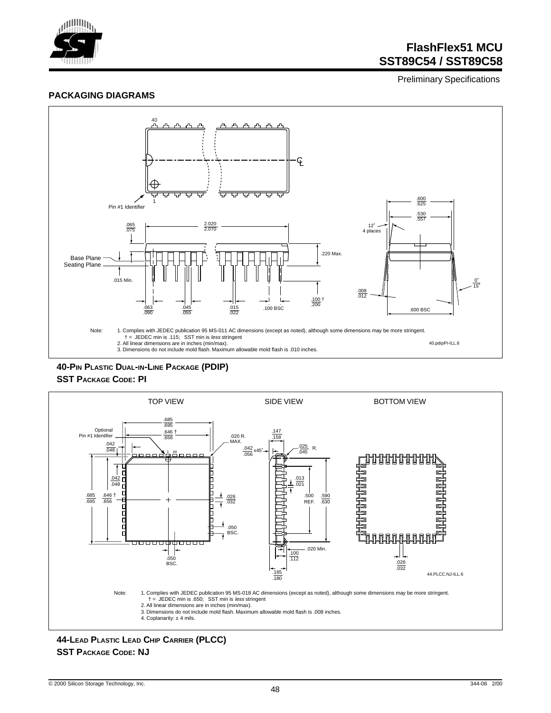

Preliminary Specifications

#### **PACKAGING DIAGRAMS**



**40-PIN PLASTIC DUAL-IN-LINE PACKAGE (PDIP) SST PACKAGE CODE: PI**



**44-LEAD PLASTIC LEAD CHIP CARRIER (PLCC) SST PACKAGE CODE: NJ**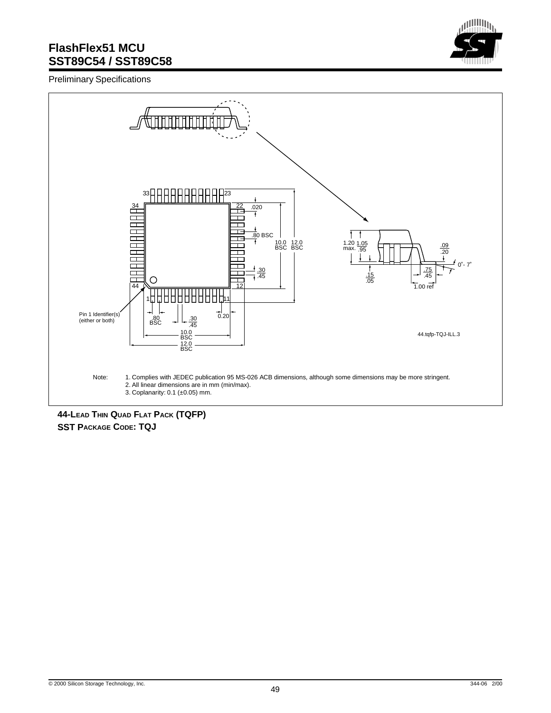

Preliminary Specifications



**44-LEAD THIN QUAD FLAT PACK (TQFP) SST PACKAGE CODE: TQJ**